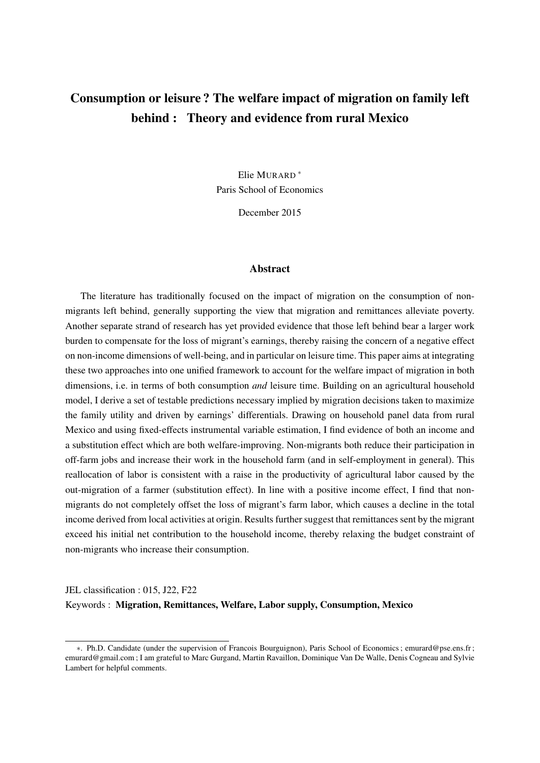# Consumption or leisure ? The welfare impact of migration on family left behind : Theory and evidence from rural Mexico

Elie MURARD <sup>∗</sup> Paris School of Economics

December 2015

#### Abstract

The literature has traditionally focused on the impact of migration on the consumption of nonmigrants left behind, generally supporting the view that migration and remittances alleviate poverty. Another separate strand of research has yet provided evidence that those left behind bear a larger work burden to compensate for the loss of migrant's earnings, thereby raising the concern of a negative effect on non-income dimensions of well-being, and in particular on leisure time. This paper aims at integrating these two approaches into one unified framework to account for the welfare impact of migration in both dimensions, i.e. in terms of both consumption *and* leisure time. Building on an agricultural household model, I derive a set of testable predictions necessary implied by migration decisions taken to maximize the family utility and driven by earnings' differentials. Drawing on household panel data from rural Mexico and using fixed-effects instrumental variable estimation, I find evidence of both an income and a substitution effect which are both welfare-improving. Non-migrants both reduce their participation in off-farm jobs and increase their work in the household farm (and in self-employment in general). This reallocation of labor is consistent with a raise in the productivity of agricultural labor caused by the out-migration of a farmer (substitution effect). In line with a positive income effect, I find that nonmigrants do not completely offset the loss of migrant's farm labor, which causes a decline in the total income derived from local activities at origin. Results further suggest that remittances sent by the migrant exceed his initial net contribution to the household income, thereby relaxing the budget constraint of non-migrants who increase their consumption.

## JEL classification : 015, J22, F22 Keywords : Migration, Remittances, Welfare, Labor supply, Consumption, Mexico

<sup>∗</sup>. Ph.D. Candidate (under the supervision of Francois Bourguignon), Paris School of Economics ; emurard@pse.ens.fr ; emurard@gmail.com ; I am grateful to Marc Gurgand, Martin Ravaillon, Dominique Van De Walle, Denis Cogneau and Sylvie Lambert for helpful comments.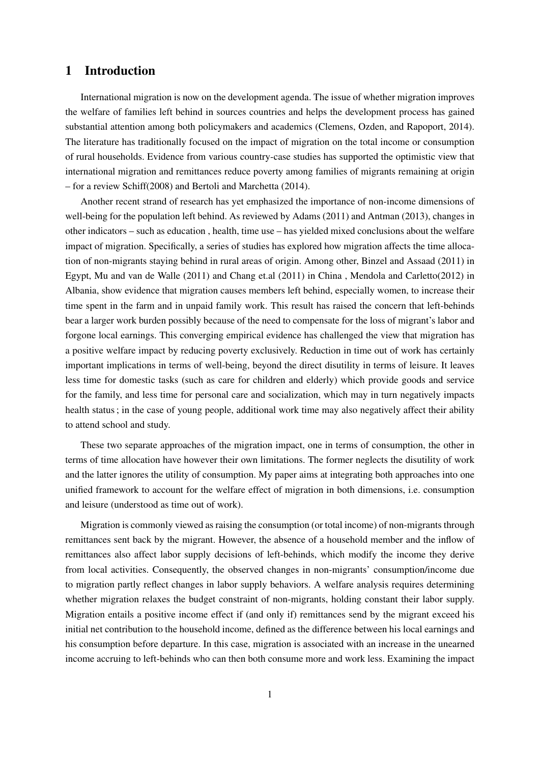## 1 Introduction

International migration is now on the development agenda. The issue of whether migration improves the welfare of families left behind in sources countries and helps the development process has gained substantial attention among both policymakers and academics (Clemens, Ozden, and Rapoport, 2014). The literature has traditionally focused on the impact of migration on the total income or consumption of rural households. Evidence from various country-case studies has supported the optimistic view that international migration and remittances reduce poverty among families of migrants remaining at origin – for a review Schiff(2008) and Bertoli and Marchetta (2014).

Another recent strand of research has yet emphasized the importance of non-income dimensions of well-being for the population left behind. As reviewed by Adams (2011) and Antman (2013), changes in other indicators – such as education , health, time use – has yielded mixed conclusions about the welfare impact of migration. Specifically, a series of studies has explored how migration affects the time allocation of non-migrants staying behind in rural areas of origin. Among other, Binzel and Assaad (2011) in Egypt, Mu and van de Walle (2011) and Chang et.al (2011) in China , Mendola and Carletto(2012) in Albania, show evidence that migration causes members left behind, especially women, to increase their time spent in the farm and in unpaid family work. This result has raised the concern that left-behinds bear a larger work burden possibly because of the need to compensate for the loss of migrant's labor and forgone local earnings. This converging empirical evidence has challenged the view that migration has a positive welfare impact by reducing poverty exclusively. Reduction in time out of work has certainly important implications in terms of well-being, beyond the direct disutility in terms of leisure. It leaves less time for domestic tasks (such as care for children and elderly) which provide goods and service for the family, and less time for personal care and socialization, which may in turn negatively impacts health status ; in the case of young people, additional work time may also negatively affect their ability to attend school and study.

These two separate approaches of the migration impact, one in terms of consumption, the other in terms of time allocation have however their own limitations. The former neglects the disutility of work and the latter ignores the utility of consumption. My paper aims at integrating both approaches into one unified framework to account for the welfare effect of migration in both dimensions, i.e. consumption and leisure (understood as time out of work).

Migration is commonly viewed as raising the consumption (or total income) of non-migrants through remittances sent back by the migrant. However, the absence of a household member and the inflow of remittances also affect labor supply decisions of left-behinds, which modify the income they derive from local activities. Consequently, the observed changes in non-migrants' consumption/income due to migration partly reflect changes in labor supply behaviors. A welfare analysis requires determining whether migration relaxes the budget constraint of non-migrants, holding constant their labor supply. Migration entails a positive income effect if (and only if) remittances send by the migrant exceed his initial net contribution to the household income, defined as the difference between his local earnings and his consumption before departure. In this case, migration is associated with an increase in the unearned income accruing to left-behinds who can then both consume more and work less. Examining the impact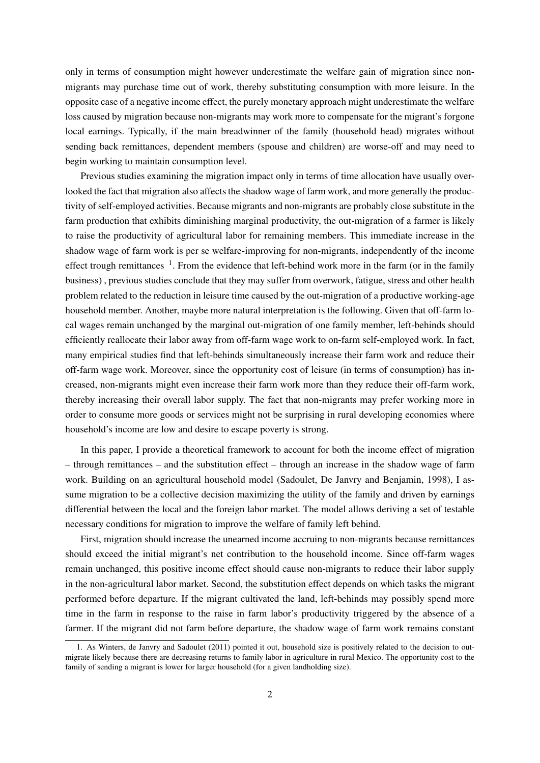only in terms of consumption might however underestimate the welfare gain of migration since nonmigrants may purchase time out of work, thereby substituting consumption with more leisure. In the opposite case of a negative income effect, the purely monetary approach might underestimate the welfare loss caused by migration because non-migrants may work more to compensate for the migrant's forgone local earnings. Typically, if the main breadwinner of the family (household head) migrates without sending back remittances, dependent members (spouse and children) are worse-off and may need to begin working to maintain consumption level.

Previous studies examining the migration impact only in terms of time allocation have usually overlooked the fact that migration also affects the shadow wage of farm work, and more generally the productivity of self-employed activities. Because migrants and non-migrants are probably close substitute in the farm production that exhibits diminishing marginal productivity, the out-migration of a farmer is likely to raise the productivity of agricultural labor for remaining members. This immediate increase in the shadow wage of farm work is per se welfare-improving for non-migrants, independently of the income effect trough remittances  $<sup>1</sup>$ . From the evidence that left-behind work more in the farm (or in the family</sup> business) , previous studies conclude that they may suffer from overwork, fatigue, stress and other health problem related to the reduction in leisure time caused by the out-migration of a productive working-age household member. Another, maybe more natural interpretation is the following. Given that off-farm local wages remain unchanged by the marginal out-migration of one family member, left-behinds should efficiently reallocate their labor away from off-farm wage work to on-farm self-employed work. In fact, many empirical studies find that left-behinds simultaneously increase their farm work and reduce their off-farm wage work. Moreover, since the opportunity cost of leisure (in terms of consumption) has increased, non-migrants might even increase their farm work more than they reduce their off-farm work, thereby increasing their overall labor supply. The fact that non-migrants may prefer working more in order to consume more goods or services might not be surprising in rural developing economies where household's income are low and desire to escape poverty is strong.

In this paper, I provide a theoretical framework to account for both the income effect of migration – through remittances – and the substitution effect – through an increase in the shadow wage of farm work. Building on an agricultural household model (Sadoulet, De Janvry and Benjamin, 1998), I assume migration to be a collective decision maximizing the utility of the family and driven by earnings differential between the local and the foreign labor market. The model allows deriving a set of testable necessary conditions for migration to improve the welfare of family left behind.

First, migration should increase the unearned income accruing to non-migrants because remittances should exceed the initial migrant's net contribution to the household income. Since off-farm wages remain unchanged, this positive income effect should cause non-migrants to reduce their labor supply in the non-agricultural labor market. Second, the substitution effect depends on which tasks the migrant performed before departure. If the migrant cultivated the land, left-behinds may possibly spend more time in the farm in response to the raise in farm labor's productivity triggered by the absence of a farmer. If the migrant did not farm before departure, the shadow wage of farm work remains constant

<sup>1.</sup> As Winters, de Janvry and Sadoulet (2011) pointed it out, household size is positively related to the decision to outmigrate likely because there are decreasing returns to family labor in agriculture in rural Mexico. The opportunity cost to the family of sending a migrant is lower for larger household (for a given landholding size).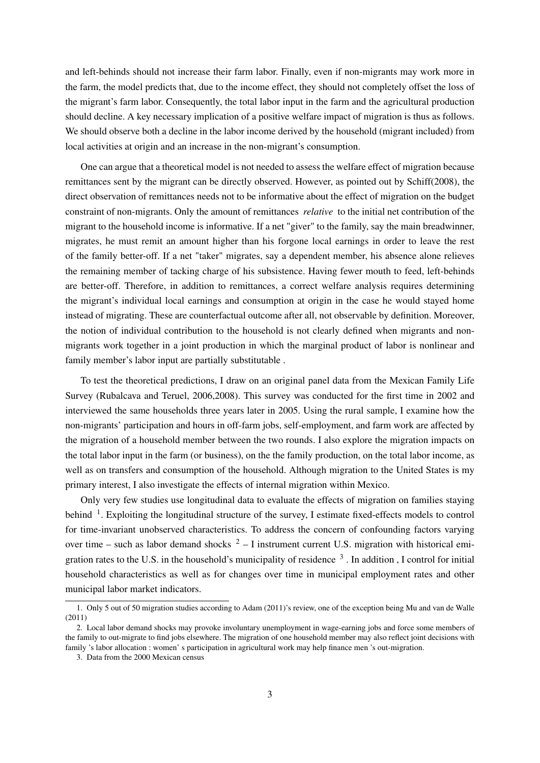and left-behinds should not increase their farm labor. Finally, even if non-migrants may work more in the farm, the model predicts that, due to the income effect, they should not completely offset the loss of the migrant's farm labor. Consequently, the total labor input in the farm and the agricultural production should decline. A key necessary implication of a positive welfare impact of migration is thus as follows. We should observe both a decline in the labor income derived by the household (migrant included) from local activities at origin and an increase in the non-migrant's consumption.

One can argue that a theoretical model is not needed to assess the welfare effect of migration because remittances sent by the migrant can be directly observed. However, as pointed out by Schiff(2008), the direct observation of remittances needs not to be informative about the effect of migration on the budget constraint of non-migrants. Only the amount of remittances *relative* to the initial net contribution of the migrant to the household income is informative. If a net "giver" to the family, say the main breadwinner, migrates, he must remit an amount higher than his forgone local earnings in order to leave the rest of the family better-off. If a net "taker" migrates, say a dependent member, his absence alone relieves the remaining member of tacking charge of his subsistence. Having fewer mouth to feed, left-behinds are better-off. Therefore, in addition to remittances, a correct welfare analysis requires determining the migrant's individual local earnings and consumption at origin in the case he would stayed home instead of migrating. These are counterfactual outcome after all, not observable by definition. Moreover, the notion of individual contribution to the household is not clearly defined when migrants and nonmigrants work together in a joint production in which the marginal product of labor is nonlinear and family member's labor input are partially substitutable .

To test the theoretical predictions, I draw on an original panel data from the Mexican Family Life Survey (Rubalcava and Teruel, 2006,2008). This survey was conducted for the first time in 2002 and interviewed the same households three years later in 2005. Using the rural sample, I examine how the non-migrants' participation and hours in off-farm jobs, self-employment, and farm work are affected by the migration of a household member between the two rounds. I also explore the migration impacts on the total labor input in the farm (or business), on the the family production, on the total labor income, as well as on transfers and consumption of the household. Although migration to the United States is my primary interest, I also investigate the effects of internal migration within Mexico.

Only very few studies use longitudinal data to evaluate the effects of migration on families staying behind <sup>1</sup>. Exploiting the longitudinal structure of the survey, I estimate fixed-effects models to control for time-invariant unobserved characteristics. To address the concern of confounding factors varying over time – such as labor demand shocks  $2 - I$  instrument current U.S. migration with historical emigration rates to the U.S. in the household's municipality of residence  $3$ . In addition, I control for initial household characteristics as well as for changes over time in municipal employment rates and other municipal labor market indicators.

<sup>1.</sup> Only 5 out of 50 migration studies according to Adam (2011)'s review, one of the exception being Mu and van de Walle (2011)

<sup>2.</sup> Local labor demand shocks may provoke involuntary unemployment in wage-earning jobs and force some members of the family to out-migrate to find jobs elsewhere. The migration of one household member may also reflect joint decisions with family 's labor allocation : women' s participation in agricultural work may help finance men 's out-migration.

<sup>3.</sup> Data from the 2000 Mexican census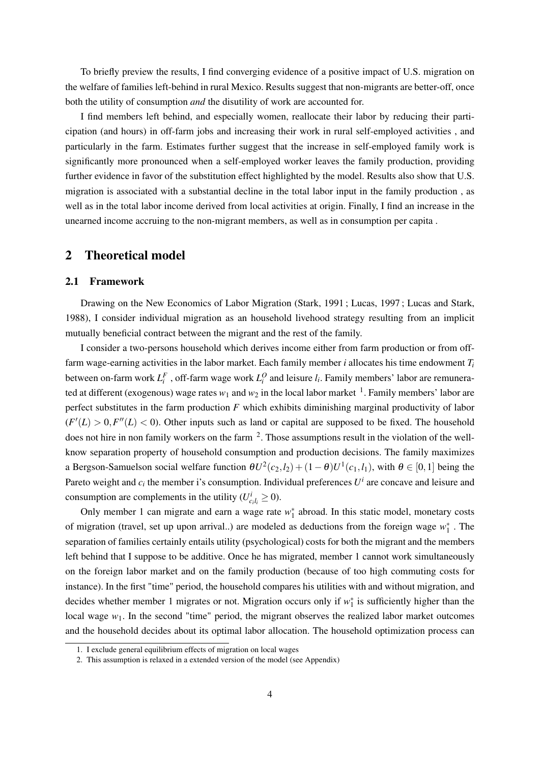To briefly preview the results, I find converging evidence of a positive impact of U.S. migration on the welfare of families left-behind in rural Mexico. Results suggest that non-migrants are better-off, once both the utility of consumption *and* the disutility of work are accounted for.

I find members left behind, and especially women, reallocate their labor by reducing their participation (and hours) in off-farm jobs and increasing their work in rural self-employed activities , and particularly in the farm. Estimates further suggest that the increase in self-employed family work is significantly more pronounced when a self-employed worker leaves the family production, providing further evidence in favor of the substitution effect highlighted by the model. Results also show that U.S. migration is associated with a substantial decline in the total labor input in the family production , as well as in the total labor income derived from local activities at origin. Finally, I find an increase in the unearned income accruing to the non-migrant members, as well as in consumption per capita .

## 2 Theoretical model

#### 2.1 Framework

Drawing on the New Economics of Labor Migration (Stark, 1991 ; Lucas, 1997 ; Lucas and Stark, 1988), I consider individual migration as an household livehood strategy resulting from an implicit mutually beneficial contract between the migrant and the rest of the family.

I consider a two-persons household which derives income either from farm production or from offfarm wage-earning activities in the labor market. Each family member *i* allocates his time endowment *T<sup>i</sup>* between on-farm work  $L_i^F$ , off-farm wage work  $L_i^O$  and leisure  $l_i$ . Family members' labor are remunerated at different (exogenous) wage rates  $w_1$  and  $w_2$  in the local labor market <sup>1</sup>. Family members' labor are perfect substitutes in the farm production *F* which exhibits diminishing marginal productivity of labor  $(F'(L) > 0, F''(L) < 0)$ . Other inputs such as land or capital are supposed to be fixed. The household does not hire in non family workers on the farm  $2$ . Those assumptions result in the violation of the wellknow separation property of household consumption and production decisions. The family maximizes a Bergson-Samuelson social welfare function  $\theta U^2(c_2, l_2) + (1-\theta)U^1(c_1, l_1)$ , with  $\theta \in [0,1]$  being the Pareto weight and  $c_i$  the member i's consumption. Individual preferences  $U^i$  are concave and leisure and consumption are complements in the utility ( $U_{c_i l_i}^i \ge 0$ ).

Only member 1 can migrate and earn a wage rate  $w_1^*$  abroad. In this static model, monetary costs of migration (travel, set up upon arrival..) are modeled as deductions from the foreign wage  $w_1^*$ . The separation of families certainly entails utility (psychological) costs for both the migrant and the members left behind that I suppose to be additive. Once he has migrated, member 1 cannot work simultaneously on the foreign labor market and on the family production (because of too high commuting costs for instance). In the first "time" period, the household compares his utilities with and without migration, and decides whether member 1 migrates or not. Migration occurs only if  $w_1^*$  is sufficiently higher than the local wage  $w_1$ . In the second "time" period, the migrant observes the realized labor market outcomes and the household decides about its optimal labor allocation. The household optimization process can

<sup>1.</sup> I exclude general equilibrium effects of migration on local wages

<sup>2.</sup> This assumption is relaxed in a extended version of the model (see Appendix)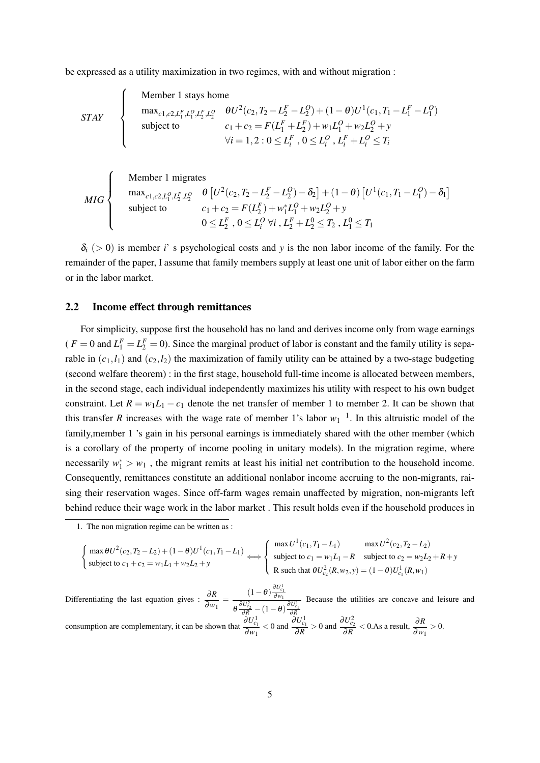be expressed as a utility maximization in two regimes, with and without migration :

$$
STAY
$$
\n
$$
\begin{cases}\n\text{Member 1 stays home} \\
\text{max}_{c1, c2, L_1^F, L_1^O, L_2^F, L_2^O} \quad \theta U^2(c_2, T_2 - L_2^F - L_2^O) + (1 - \theta)U^1(c_1, T_1 - L_1^F - L_1^O) \\
\text{subject to} \\
c_1 + c_2 = F(L_1^F + L_2^F) + w_1L_1^O + w_2L_2^O + y \\
\forall i = 1, 2 : 0 \le L_i^F, 0 \le L_i^O, L_i^F + L_i^O \le T_i\n\end{cases}
$$

*MIG*  $\sqrt{ }$  $\int$  $\overline{\mathcal{L}}$ Member 1 migrates  $\max_{c_1, c_2, L_1^O, L_2^F, L_2^O}$   $\theta \left[ U^2(c_2, T_2 - L_2^F - L_2^O) - \delta_2 \right] + (1 - \theta) \left[ U^1(c_1, T_1 - L_1^O) - \delta_1 \right]$ subject to  $c_1 + c_2 = F(L_2^F) + w_1^*L_1^O + w_2L_2^O + y$  $0 \leq L_2^F$  ,  $0 \leq L_i^O$   $\forall i$  ,  $L_2^F + L_2^0 \leq T_2$  ,  $L_1^0 \leq T_1$ 

 $\delta_i$  (> 0) is member *i*' s psychological costs and *y* is the non labor income of the family. For the remainder of the paper, I assume that family members supply at least one unit of labor either on the farm or in the labor market.

### 2.2 Income effect through remittances

For simplicity, suppose first the household has no land and derives income only from wage earnings  $(F = 0 \text{ and } L_1^F = L_2^F = 0)$ . Since the marginal product of labor is constant and the family utility is separable in  $(c_1, l_1)$  and  $(c_2, l_2)$  the maximization of family utility can be attained by a two-stage budgeting (second welfare theorem) : in the first stage, household full-time income is allocated between members, in the second stage, each individual independently maximizes his utility with respect to his own budget constraint. Let  $R = w_1 L_1 - c_1$  denote the net transfer of member 1 to member 2. It can be shown that this transfer *R* increases with the wage rate of member 1's labor  $w_1$ <sup>1</sup>. In this altruistic model of the family,member 1 's gain in his personal earnings is immediately shared with the other member (which is a corollary of the property of income pooling in unitary models). In the migration regime, where necessarily  $w_1^* > w_1$ , the migrant remits at least his initial net contribution to the household income. Consequently, remittances constitute an additional nonlabor income accruing to the non-migrants, raising their reservation wages. Since off-farm wages remain unaffected by migration, non-migrants left behind reduce their wage work in the labor market . This result holds even if the household produces in

$$
\begin{cases}\n\max \theta U^{2}(c_{2}, T_{2} - L_{2}) + (1 - \theta)U^{1}(c_{1}, T_{1} - L_{1}) & \max U^{2}(c_{2}, T_{2} - L_{2}) \\
\text{subject to } c_{1} + c_{2} = w_{1}L_{1} + w_{2}L_{2} + y & R \text{ such that } \theta U^{2}_{c}(R, w_{2}, y) = (1 - \theta)U^{1}_{c}(R, w_{1})\n\end{cases}
$$

Differentiating the last equation gives :  $\frac{\partial R}{\partial w_1} = \frac{(1-\theta)\frac{\partial U_{\text{c}}^1}{\partial w_1}}{\theta \frac{\partial U_{\text{c}}^2}{\partial w_1} - (1-\theta)^2}$  $\theta \frac{\partial U_{c_2}^2}{\partial R} - (1 - \theta) \frac{\partial U_{c_1}^1}{\partial R}$ Because the utilities are concave and leisure and consumption are complementary, it can be shown that  $\frac{\partial U_{c_1}^1}{\partial C_1}$  $\frac{\partial U_{c_1}^1}{\partial w_1}$  < 0 and  $\frac{\partial U_{c_1}^1}{\partial R}$  $\frac{\partial U_{c_1}^1}{\partial R} > 0$  and  $\frac{\partial U_{c_2}^2}{\partial R}$  $\frac{\partial U_{c_2}^2}{\partial R}$  < 0.As a result,  $\frac{\partial R}{\partial w_1}$  > 0.

<sup>1.</sup> The non migration regime can be written as :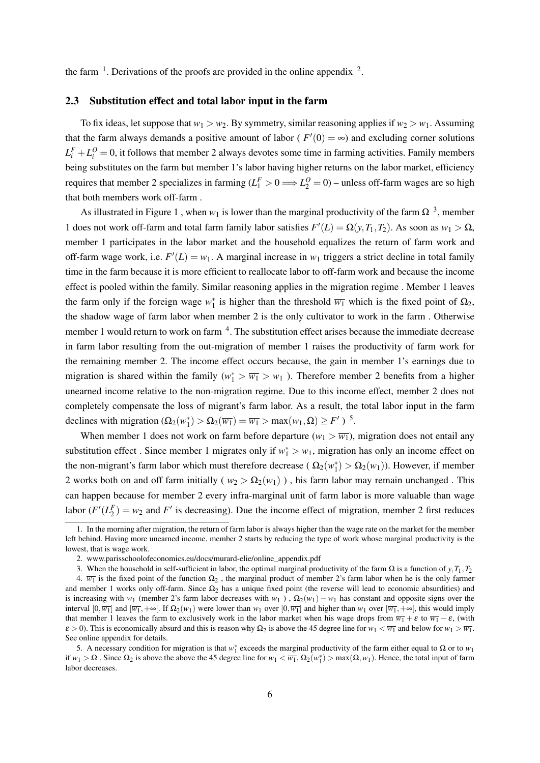the farm  $\frac{1}{2}$ . Derivations of the proofs are provided in the online appendix  $\frac{2}{2}$ .

#### 2.3 Substitution effect and total labor input in the farm

To fix ideas, let suppose that  $w_1 > w_2$ . By symmetry, similar reasoning applies if  $w_2 > w_1$ . Assuming that the farm always demands a positive amount of labor ( $F'(0) = \infty$ ) and excluding corner solutions  $L_i^F + L_i^O = 0$ , it follows that member 2 always devotes some time in farming activities. Family members being substitutes on the farm but member 1's labor having higher returns on the labor market, efficiency requires that member 2 specializes in farming  $(L_1^F > 0 \Longrightarrow L_2^O = 0)$  – unless off-farm wages are so high that both members work off-farm .

As illustrated in Figure 1, when  $w_1$  is lower than the marginal productivity of the farm  $\Omega$ <sup>3</sup>, member 1 does not work of f-farm and total farm family labor satisfies  $F'(L) = \Omega(y, T_1, T_2)$ . As soon as  $w_1 > \Omega$ , member 1 participates in the labor market and the household equalizes the return of farm work and off-farm wage work, i.e.  $F'(L) = w_1$ . A marginal increase in  $w_1$  triggers a strict decline in total family time in the farm because it is more efficient to reallocate labor to off-farm work and because the income effect is pooled within the family. Similar reasoning applies in the migration regime . Member 1 leaves the farm only if the foreign wage  $w_1^*$  is higher than the threshold  $\overline{w_1}$  which is the fixed point of  $\Omega_2$ , the shadow wage of farm labor when member 2 is the only cultivator to work in the farm . Otherwise member 1 would return to work on farm <sup>4</sup>. The substitution effect arises because the immediate decrease in farm labor resulting from the out-migration of member 1 raises the productivity of farm work for the remaining member 2. The income effect occurs because, the gain in member 1's earnings due to migration is shared within the family ( $w_1^* > \overline{w_1} > w_1$ ). Therefore member 2 benefits from a higher unearned income relative to the non-migration regime. Due to this income effect, member 2 does not completely compensate the loss of migrant's farm labor. As a result, the total labor input in the farm declines with migration  $(\Omega_2(w_1^*) > \Omega_2(\overline{w_1}) = \overline{w_1} > \max(w_1, \Omega) \geq F'$ )<sup>5</sup>.

When member 1 does not work on farm before departure  $(w_1 > \overline{w_1})$ , migration does not entail any substitution effect. Since member 1 migrates only if  $w_1^* > w_1$ , migration has only an income effect on the non-migrant's farm labor which must therefore decrease ( $\Omega_2(w_1^*) > \Omega_2(w_1)$ ). However, if member 2 works both on and off farm initially ( $w_2 > \Omega_2(w_1)$ ), his farm labor may remain unchanged. This can happen because for member 2 every infra-marginal unit of farm labor is more valuable than wage labor  $(F'(L_2^F) = w_2$  and  $F'$  is decreasing). Due the income effect of migration, member 2 first reduces

<sup>1.</sup> In the morning after migration, the return of farm labor is always higher than the wage rate on the market for the member left behind. Having more unearned income, member 2 starts by reducing the type of work whose marginal productivity is the lowest, that is wage work.

<sup>2.</sup> www.parisschoolofeconomics.eu/docs/murard-elie/online\_appendix.pdf

<sup>3.</sup> When the household in self-sufficient in labor, the optimal marginal productivity of the farm  $\Omega$  is a function of *y*,  $T_1$ ,  $T_2$ 

<sup>4.</sup>  $\overline{w_1}$  is the fixed point of the function  $\Omega_2$ , the marginal product of member 2's farm labor when he is the only farmer and member 1 works only off-farm. Since  $\Omega_2$  has a unique fixed point (the reverse will lead to economic absurdities) and is increasing with *w*<sub>1</sub> (member 2's farm labor decreases with *w*<sub>1</sub>),  $\Omega_2(w_1) - w_1$  has constant and opposite signs over the interval  $[0, \overline{w_1}]$  and  $[\overline{w_1}, +\infty]$ . If  $\Omega_2(w_1)$  were lower than  $w_1$  over  $[0, \overline{w_1}]$  and higher than  $w_1$  over  $[\overline{w_1}, +\infty]$ , this would imply that member 1 leaves the farm to exclusively work in the labor market when his wage drops from  $\overline{w_1} + \varepsilon$  to  $\overline{w_1} - \varepsilon$ , (with  $\varepsilon > 0$ ). This is economically absurd and this is reason why  $\Omega_2$  is above the 45 degree line for  $w_1 < \overline{w_1}$  and below for  $w_1 > \overline{w_1}$ . See online appendix for details.

<sup>5.</sup> A necessary condition for migration is that  $w_1^*$  exceeds the marginal productivity of the farm either equal to  $\Omega$  or to  $w_1$ if  $w_1 > \Omega$ . Since  $\Omega_2$  is above the above the 45 degree line for  $w_1 < \overline{w_1}$ ,  $\Omega_2(w_1^*)$  > max $(\Omega, w_1)$ . Hence, the total input of farm labor decreases.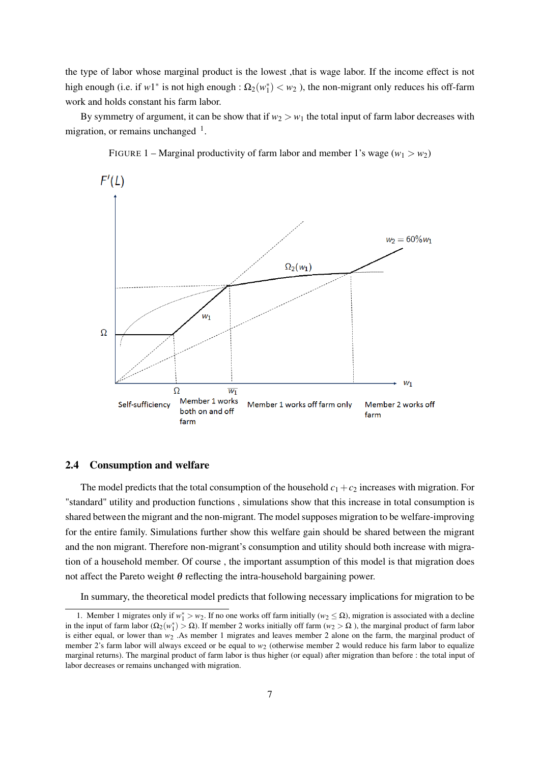the type of labor whose marginal product is the lowest ,that is wage labor. If the income effect is not high enough (i.e. if  $w1^*$  is not high enough :  $\Omega_2(w_1^*) < w_2$ ), the non-migrant only reduces his off-farm work and holds constant his farm labor.

By symmetry of argument, it can be show that if  $w_2 > w_1$  the total input of farm labor decreases with migration, or remains unchanged  $<sup>1</sup>$ .</sup>



FIGURE 1 – Marginal productivity of farm labor and member 1's wage  $(w_1 > w_2)$ 

#### 2.4 Consumption and welfare

The model predicts that the total consumption of the household  $c_1 + c_2$  increases with migration. For "standard" utility and production functions , simulations show that this increase in total consumption is shared between the migrant and the non-migrant. The model supposes migration to be welfare-improving for the entire family. Simulations further show this welfare gain should be shared between the migrant and the non migrant. Therefore non-migrant's consumption and utility should both increase with migration of a household member. Of course , the important assumption of this model is that migration does not affect the Pareto weight θ reflecting the intra-household bargaining power.

In summary, the theoretical model predicts that following necessary implications for migration to be

<sup>1.</sup> Member 1 migrates only if  $w_1^* > w_2$ . If no one works off farm initially ( $w_2 \le \Omega$ ), migration is associated with a decline in the input of farm labor ( $\Omega_2(w_1^*)$  >  $\Omega$ ). If member 2 works initially off farm ( $w_2 > \Omega$ ), the marginal product of farm labor is either equal, or lower than  $w<sub>2</sub>$ . As member 1 migrates and leaves member 2 alone on the farm, the marginal product of member 2's farm labor will always exceed or be equal to  $w<sub>2</sub>$  (otherwise member 2 would reduce his farm labor to equalize marginal returns). The marginal product of farm labor is thus higher (or equal) after migration than before : the total input of labor decreases or remains unchanged with migration.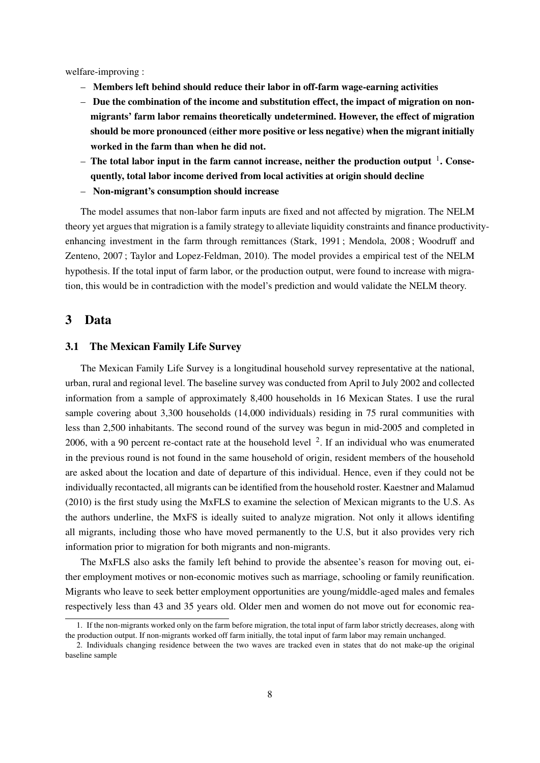welfare-improving :

- Members left behind should reduce their labor in off-farm wage-earning activities
- Due the combination of the income and substitution effect, the impact of migration on nonmigrants' farm labor remains theoretically undetermined. However, the effect of migration should be more pronounced (either more positive or less negative) when the migrant initially worked in the farm than when he did not.
- The total labor input in the farm cannot increase, neither the production output <sup>1</sup>. Consequently, total labor income derived from local activities at origin should decline
- Non-migrant's consumption should increase

The model assumes that non-labor farm inputs are fixed and not affected by migration. The NELM theory yet argues that migration is a family strategy to alleviate liquidity constraints and finance productivityenhancing investment in the farm through remittances (Stark, 1991 ; Mendola, 2008 ; Woodruff and Zenteno, 2007 ; Taylor and Lopez-Feldman, 2010). The model provides a empirical test of the NELM hypothesis. If the total input of farm labor, or the production output, were found to increase with migration, this would be in contradiction with the model's prediction and would validate the NELM theory.

## 3 Data

### 3.1 The Mexican Family Life Survey

The Mexican Family Life Survey is a longitudinal household survey representative at the national, urban, rural and regional level. The baseline survey was conducted from April to July 2002 and collected information from a sample of approximately 8,400 households in 16 Mexican States. I use the rural sample covering about 3,300 households (14,000 individuals) residing in 75 rural communities with less than 2,500 inhabitants. The second round of the survey was begun in mid-2005 and completed in 2006, with a 90 percent re-contact rate at the household level  $2$ . If an individual who was enumerated in the previous round is not found in the same household of origin, resident members of the household are asked about the location and date of departure of this individual. Hence, even if they could not be individually recontacted, all migrants can be identified from the household roster. Kaestner and Malamud (2010) is the first study using the MxFLS to examine the selection of Mexican migrants to the U.S. As the authors underline, the MxFS is ideally suited to analyze migration. Not only it allows identifing all migrants, including those who have moved permanently to the U.S, but it also provides very rich information prior to migration for both migrants and non-migrants.

The MxFLS also asks the family left behind to provide the absentee's reason for moving out, either employment motives or non-economic motives such as marriage, schooling or family reunification. Migrants who leave to seek better employment opportunities are young/middle-aged males and females respectively less than 43 and 35 years old. Older men and women do not move out for economic rea-

<sup>1.</sup> If the non-migrants worked only on the farm before migration, the total input of farm labor strictly decreases, along with the production output. If non-migrants worked off farm initially, the total input of farm labor may remain unchanged.

<sup>2.</sup> Individuals changing residence between the two waves are tracked even in states that do not make-up the original baseline sample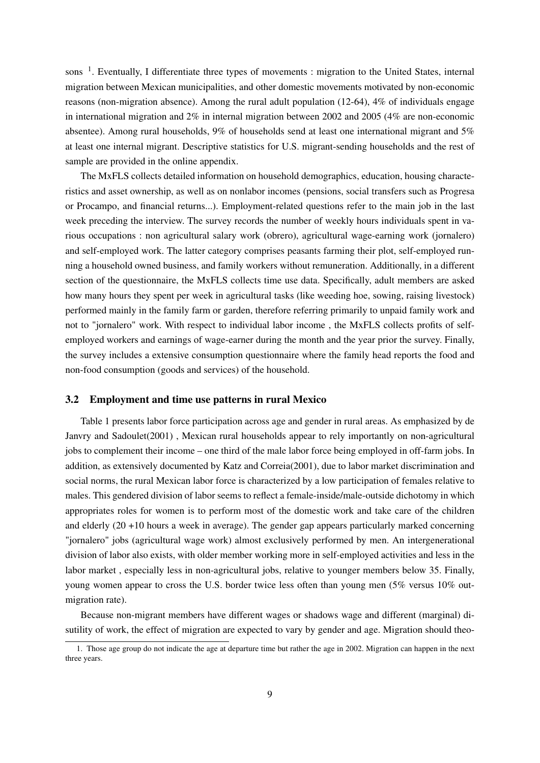sons<sup>1</sup>. Eventually, I differentiate three types of movements : migration to the United States, internal migration between Mexican municipalities, and other domestic movements motivated by non-economic reasons (non-migration absence). Among the rural adult population (12-64), 4% of individuals engage in international migration and 2% in internal migration between 2002 and 2005 (4% are non-economic absentee). Among rural households, 9% of households send at least one international migrant and 5% at least one internal migrant. Descriptive statistics for U.S. migrant-sending households and the rest of sample are provided in the online appendix.

The MxFLS collects detailed information on household demographics, education, housing characteristics and asset ownership, as well as on nonlabor incomes (pensions, social transfers such as Progresa or Procampo, and financial returns...). Employment-related questions refer to the main job in the last week preceding the interview. The survey records the number of weekly hours individuals spent in various occupations : non agricultural salary work (obrero), agricultural wage-earning work (jornalero) and self-employed work. The latter category comprises peasants farming their plot, self-employed running a household owned business, and family workers without remuneration. Additionally, in a different section of the questionnaire, the MxFLS collects time use data. Specifically, adult members are asked how many hours they spent per week in agricultural tasks (like weeding hoe, sowing, raising livestock) performed mainly in the family farm or garden, therefore referring primarily to unpaid family work and not to "jornalero" work. With respect to individual labor income , the MxFLS collects profits of selfemployed workers and earnings of wage-earner during the month and the year prior the survey. Finally, the survey includes a extensive consumption questionnaire where the family head reports the food and non-food consumption (goods and services) of the household.

### 3.2 Employment and time use patterns in rural Mexico

Table 1 presents labor force participation across age and gender in rural areas. As emphasized by de Janvry and Sadoulet(2001) , Mexican rural households appear to rely importantly on non-agricultural jobs to complement their income – one third of the male labor force being employed in off-farm jobs. In addition, as extensively documented by Katz and Correia(2001), due to labor market discrimination and social norms, the rural Mexican labor force is characterized by a low participation of females relative to males. This gendered division of labor seems to reflect a female-inside/male-outside dichotomy in which appropriates roles for women is to perform most of the domestic work and take care of the children and elderly (20 +10 hours a week in average). The gender gap appears particularly marked concerning "jornalero" jobs (agricultural wage work) almost exclusively performed by men. An intergenerational division of labor also exists, with older member working more in self-employed activities and less in the labor market , especially less in non-agricultural jobs, relative to younger members below 35. Finally, young women appear to cross the U.S. border twice less often than young men (5% versus 10% outmigration rate).

Because non-migrant members have different wages or shadows wage and different (marginal) disutility of work, the effect of migration are expected to vary by gender and age. Migration should theo-

<sup>1.</sup> Those age group do not indicate the age at departure time but rather the age in 2002. Migration can happen in the next three years.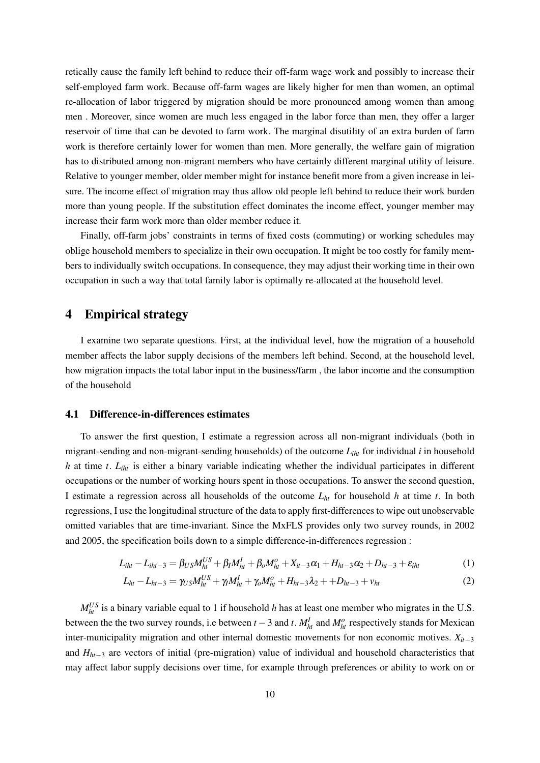retically cause the family left behind to reduce their off-farm wage work and possibly to increase their self-employed farm work. Because off-farm wages are likely higher for men than women, an optimal re-allocation of labor triggered by migration should be more pronounced among women than among men . Moreover, since women are much less engaged in the labor force than men, they offer a larger reservoir of time that can be devoted to farm work. The marginal disutility of an extra burden of farm work is therefore certainly lower for women than men. More generally, the welfare gain of migration has to distributed among non-migrant members who have certainly different marginal utility of leisure. Relative to younger member, older member might for instance benefit more from a given increase in leisure. The income effect of migration may thus allow old people left behind to reduce their work burden more than young people. If the substitution effect dominates the income effect, younger member may increase their farm work more than older member reduce it.

Finally, off-farm jobs' constraints in terms of fixed costs (commuting) or working schedules may oblige household members to specialize in their own occupation. It might be too costly for family members to individually switch occupations. In consequence, they may adjust their working time in their own occupation in such a way that total family labor is optimally re-allocated at the household level.

## 4 Empirical strategy

I examine two separate questions. First, at the individual level, how the migration of a household member affects the labor supply decisions of the members left behind. Second, at the household level, how migration impacts the total labor input in the business/farm , the labor income and the consumption of the household

## 4.1 Difference-in-differences estimates

To answer the first question, I estimate a regression across all non-migrant individuals (both in migrant-sending and non-migrant-sending households) of the outcome *Liht* for individual *i* in household *h* at time *t*. *Liht* is either a binary variable indicating whether the individual participates in different occupations or the number of working hours spent in those occupations. To answer the second question, I estimate a regression across all households of the outcome *Lht* for household *h* at time *t*. In both regressions, I use the longitudinal structure of the data to apply first-differences to wipe out unobservable omitted variables that are time-invariant. Since the MxFLS provides only two survey rounds, in 2002 and 2005, the specification boils down to a simple difference-in-differences regression :

$$
L_{iht} - L_{iht-3} = \beta_{US}M_{ht}^{US} + \beta_{I}M_{ht}^{I} + \beta_{o}M_{ht}^{o} + X_{it-3}\alpha_{1} + H_{ht-3}\alpha_{2} + D_{ht-3} + \varepsilon_{iht}
$$
(1)

$$
L_{ht} - L_{ht-3} = \gamma_{US} M_{ht}^{US} + \gamma_l M_{ht}^l + \gamma_o M_{ht}^o + H_{ht-3} \lambda_2 + + D_{ht-3} + v_{ht}
$$
 (2)

 $M_{ht}^{US}$  is a binary variable equal to 1 if household *h* has at least one member who migrates in the U.S. between the the two survey rounds, i.e between  $t-3$  and  $t$ .  $M_{ht}^I$  and  $M_{ht}^o$  respectively stands for Mexican inter-municipality migration and other internal domestic movements for non economic motives. *Xit*−<sup>3</sup> and *Hht*−<sup>3</sup> are vectors of initial (pre-migration) value of individual and household characteristics that may affect labor supply decisions over time, for example through preferences or ability to work on or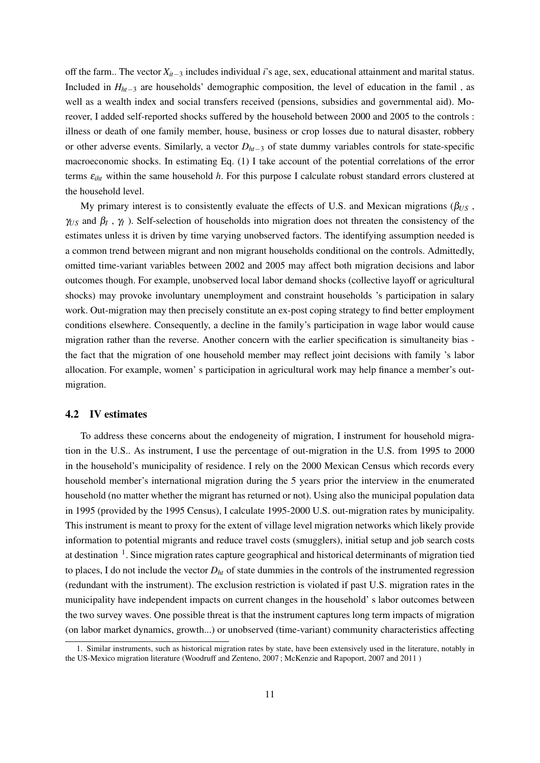off the farm.. The vector *Xit*−<sup>3</sup> includes individual *i*'s age, sex, educational attainment and marital status. Included in *Hht*−<sup>3</sup> are households' demographic composition, the level of education in the famil , as well as a wealth index and social transfers received (pensions, subsidies and governmental aid). Moreover, I added self-reported shocks suffered by the household between 2000 and 2005 to the controls : illness or death of one family member, house, business or crop losses due to natural disaster, robbery or other adverse events. Similarly, a vector *Dht*−<sup>3</sup> of state dummy variables controls for state-specific macroeconomic shocks. In estimating Eq. (1) I take account of the potential correlations of the error terms ε*iht* within the same household *h*. For this purpose I calculate robust standard errors clustered at the household level.

My primary interest is to consistently evaluate the effects of U.S. and Mexican migrations (β*US* ,  $\gamma_{US}$  and  $\beta_I$ ,  $\gamma_I$ ). Self-selection of households into migration does not threaten the consistency of the estimates unless it is driven by time varying unobserved factors. The identifying assumption needed is a common trend between migrant and non migrant households conditional on the controls. Admittedly, omitted time-variant variables between 2002 and 2005 may affect both migration decisions and labor outcomes though. For example, unobserved local labor demand shocks (collective layoff or agricultural shocks) may provoke involuntary unemployment and constraint households 's participation in salary work. Out-migration may then precisely constitute an ex-post coping strategy to find better employment conditions elsewhere. Consequently, a decline in the family's participation in wage labor would cause migration rather than the reverse. Another concern with the earlier specification is simultaneity bias the fact that the migration of one household member may reflect joint decisions with family 's labor allocation. For example, women' s participation in agricultural work may help finance a member's outmigration.

## 4.2 IV estimates

To address these concerns about the endogeneity of migration, I instrument for household migration in the U.S.. As instrument, I use the percentage of out-migration in the U.S. from 1995 to 2000 in the household's municipality of residence. I rely on the 2000 Mexican Census which records every household member's international migration during the 5 years prior the interview in the enumerated household (no matter whether the migrant has returned or not). Using also the municipal population data in 1995 (provided by the 1995 Census), I calculate 1995-2000 U.S. out-migration rates by municipality. This instrument is meant to proxy for the extent of village level migration networks which likely provide information to potential migrants and reduce travel costs (smugglers), initial setup and job search costs at destination <sup>1</sup>. Since migration rates capture geographical and historical determinants of migration tied to places, I do not include the vector  $D<sub>ht</sub>$  of state dummies in the controls of the instrumented regression (redundant with the instrument). The exclusion restriction is violated if past U.S. migration rates in the municipality have independent impacts on current changes in the household' s labor outcomes between the two survey waves. One possible threat is that the instrument captures long term impacts of migration (on labor market dynamics, growth...) or unobserved (time-variant) community characteristics affecting

<sup>1.</sup> Similar instruments, such as historical migration rates by state, have been extensively used in the literature, notably in the US-Mexico migration literature (Woodruff and Zenteno, 2007 ; McKenzie and Rapoport, 2007 and 2011 )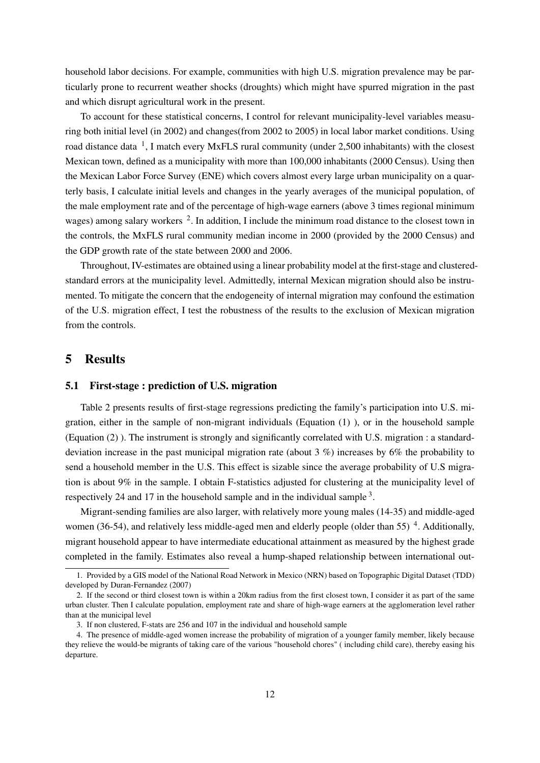household labor decisions. For example, communities with high U.S. migration prevalence may be particularly prone to recurrent weather shocks (droughts) which might have spurred migration in the past and which disrupt agricultural work in the present.

To account for these statistical concerns, I control for relevant municipality-level variables measuring both initial level (in 2002) and changes(from 2002 to 2005) in local labor market conditions. Using road distance data  $<sup>1</sup>$ , I match every MxFLS rural community (under 2,500 inhabitants) with the closest</sup> Mexican town, defined as a municipality with more than 100,000 inhabitants (2000 Census). Using then the Mexican Labor Force Survey (ENE) which covers almost every large urban municipality on a quarterly basis, I calculate initial levels and changes in the yearly averages of the municipal population, of the male employment rate and of the percentage of high-wage earners (above 3 times regional minimum wages) among salary workers <sup>2</sup>. In addition, I include the minimum road distance to the closest town in the controls, the MxFLS rural community median income in 2000 (provided by the 2000 Census) and the GDP growth rate of the state between 2000 and 2006.

Throughout, IV-estimates are obtained using a linear probability model at the first-stage and clusteredstandard errors at the municipality level. Admittedly, internal Mexican migration should also be instrumented. To mitigate the concern that the endogeneity of internal migration may confound the estimation of the U.S. migration effect, I test the robustness of the results to the exclusion of Mexican migration from the controls.

## 5 Results

#### 5.1 First-stage : prediction of U.S. migration

Table 2 presents results of first-stage regressions predicting the family's participation into U.S. migration, either in the sample of non-migrant individuals (Equation (1) ), or in the household sample (Equation (2) ). The instrument is strongly and significantly correlated with U.S. migration : a standarddeviation increase in the past municipal migration rate (about 3 %) increases by 6% the probability to send a household member in the U.S. This effect is sizable since the average probability of U.S migration is about 9% in the sample. I obtain F-statistics adjusted for clustering at the municipality level of respectively 24 and 17 in the household sample and in the individual sample  $3$ .

Migrant-sending families are also larger, with relatively more young males (14-35) and middle-aged women (36-54), and relatively less middle-aged men and elderly people (older than 55)<sup>4</sup>. Additionally, migrant household appear to have intermediate educational attainment as measured by the highest grade completed in the family. Estimates also reveal a hump-shaped relationship between international out-

<sup>1.</sup> Provided by a GIS model of the National Road Network in Mexico (NRN) based on Topographic Digital Dataset (TDD) developed by Duran-Fernandez (2007)

<sup>2.</sup> If the second or third closest town is within a 20km radius from the first closest town, I consider it as part of the same urban cluster. Then I calculate population, employment rate and share of high-wage earners at the agglomeration level rather than at the municipal level

<sup>3.</sup> If non clustered, F-stats are 256 and 107 in the individual and household sample

<sup>4.</sup> The presence of middle-aged women increase the probability of migration of a younger family member, likely because they relieve the would-be migrants of taking care of the various "household chores" ( including child care), thereby easing his departure.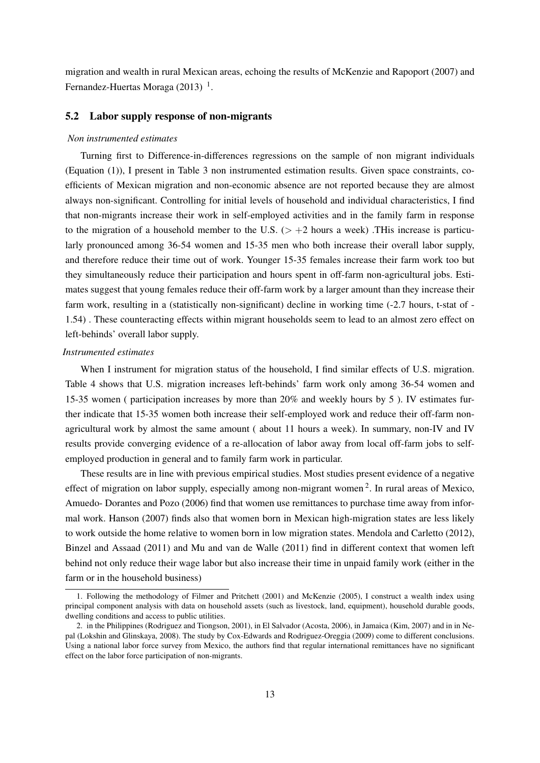migration and wealth in rural Mexican areas, echoing the results of McKenzie and Rapoport (2007) and Fernandez-Huertas Moraga  $(2013)^{-1}$ .

### 5.2 Labor supply response of non-migrants

#### *Non instrumented estimates*

Turning first to Difference-in-differences regressions on the sample of non migrant individuals (Equation (1)), I present in Table 3 non instrumented estimation results. Given space constraints, coefficients of Mexican migration and non-economic absence are not reported because they are almost always non-significant. Controlling for initial levels of household and individual characteristics, I find that non-migrants increase their work in self-employed activities and in the family farm in response to the migration of a household member to the U.S.  $(> +2$  hours a week) .THis increase is particularly pronounced among 36-54 women and 15-35 men who both increase their overall labor supply, and therefore reduce their time out of work. Younger 15-35 females increase their farm work too but they simultaneously reduce their participation and hours spent in off-farm non-agricultural jobs. Estimates suggest that young females reduce their off-farm work by a larger amount than they increase their farm work, resulting in a (statistically non-significant) decline in working time (-2.7 hours, t-stat of - 1.54) . These counteracting effects within migrant households seem to lead to an almost zero effect on left-behinds' overall labor supply.

### *Instrumented estimates*

When I instrument for migration status of the household, I find similar effects of U.S. migration. Table 4 shows that U.S. migration increases left-behinds' farm work only among 36-54 women and 15-35 women ( participation increases by more than 20% and weekly hours by 5 ). IV estimates further indicate that 15-35 women both increase their self-employed work and reduce their off-farm nonagricultural work by almost the same amount ( about 11 hours a week). In summary, non-IV and IV results provide converging evidence of a re-allocation of labor away from local off-farm jobs to selfemployed production in general and to family farm work in particular.

These results are in line with previous empirical studies. Most studies present evidence of a negative effect of migration on labor supply, especially among non-migrant women<sup>2</sup>. In rural areas of Mexico, Amuedo- Dorantes and Pozo (2006) find that women use remittances to purchase time away from informal work. Hanson (2007) finds also that women born in Mexican high-migration states are less likely to work outside the home relative to women born in low migration states. Mendola and Carletto (2012), Binzel and Assaad (2011) and Mu and van de Walle (2011) find in different context that women left behind not only reduce their wage labor but also increase their time in unpaid family work (either in the farm or in the household business)

<sup>1.</sup> Following the methodology of Filmer and Pritchett (2001) and McKenzie (2005), I construct a wealth index using principal component analysis with data on household assets (such as livestock, land, equipment), household durable goods, dwelling conditions and access to public utilities.

<sup>2.</sup> in the Philippines (Rodriguez and Tiongson, 2001), in El Salvador (Acosta, 2006), in Jamaica (Kim, 2007) and in in Nepal (Lokshin and Glinskaya, 2008). The study by Cox-Edwards and Rodriguez-Oreggia (2009) come to different conclusions. Using a national labor force survey from Mexico, the authors find that regular international remittances have no significant effect on the labor force participation of non-migrants.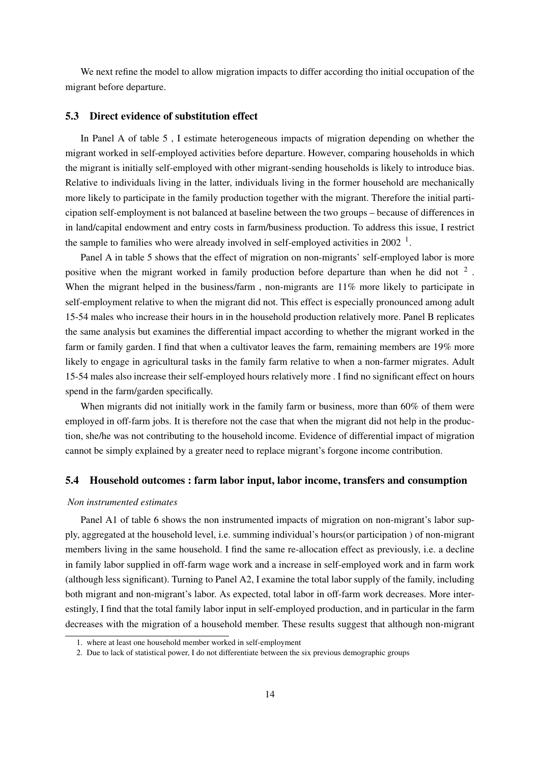We next refine the model to allow migration impacts to differ according tho initial occupation of the migrant before departure.

### 5.3 Direct evidence of substitution effect

In Panel A of table 5 , I estimate heterogeneous impacts of migration depending on whether the migrant worked in self-employed activities before departure. However, comparing households in which the migrant is initially self-employed with other migrant-sending households is likely to introduce bias. Relative to individuals living in the latter, individuals living in the former household are mechanically more likely to participate in the family production together with the migrant. Therefore the initial participation self-employment is not balanced at baseline between the two groups – because of differences in in land/capital endowment and entry costs in farm/business production. To address this issue, I restrict the sample to families who were already involved in self-employed activities in  $2002<sup>-1</sup>$ .

Panel A in table 5 shows that the effect of migration on non-migrants' self-employed labor is more positive when the migrant worked in family production before departure than when he did not  $2$ . When the migrant helped in the business/farm, non-migrants are 11% more likely to participate in self-employment relative to when the migrant did not. This effect is especially pronounced among adult 15-54 males who increase their hours in in the household production relatively more. Panel B replicates the same analysis but examines the differential impact according to whether the migrant worked in the farm or family garden. I find that when a cultivator leaves the farm, remaining members are 19% more likely to engage in agricultural tasks in the family farm relative to when a non-farmer migrates. Adult 15-54 males also increase their self-employed hours relatively more . I find no significant effect on hours spend in the farm/garden specifically.

When migrants did not initially work in the family farm or business, more than 60% of them were employed in off-farm jobs. It is therefore not the case that when the migrant did not help in the production, she/he was not contributing to the household income. Evidence of differential impact of migration cannot be simply explained by a greater need to replace migrant's forgone income contribution.

## 5.4 Household outcomes : farm labor input, labor income, transfers and consumption

#### *Non instrumented estimates*

Panel A1 of table 6 shows the non instrumented impacts of migration on non-migrant's labor supply, aggregated at the household level, i.e. summing individual's hours(or participation ) of non-migrant members living in the same household. I find the same re-allocation effect as previously, i.e. a decline in family labor supplied in off-farm wage work and a increase in self-employed work and in farm work (although less significant). Turning to Panel A2, I examine the total labor supply of the family, including both migrant and non-migrant's labor. As expected, total labor in off-farm work decreases. More interestingly, I find that the total family labor input in self-employed production, and in particular in the farm decreases with the migration of a household member. These results suggest that although non-migrant

<sup>1.</sup> where at least one household member worked in self-employment

<sup>2.</sup> Due to lack of statistical power, I do not differentiate between the six previous demographic groups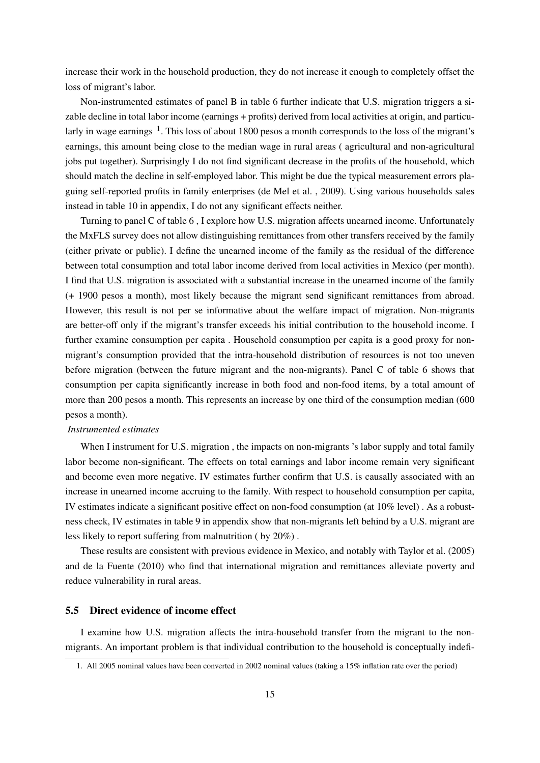increase their work in the household production, they do not increase it enough to completely offset the loss of migrant's labor.

Non-instrumented estimates of panel B in table 6 further indicate that U.S. migration triggers a sizable decline in total labor income (earnings + profits) derived from local activities at origin, and particularly in wage earnings <sup>1</sup>. This loss of about 1800 pesos a month corresponds to the loss of the migrant's earnings, this amount being close to the median wage in rural areas ( agricultural and non-agricultural jobs put together). Surprisingly I do not find significant decrease in the profits of the household, which should match the decline in self-employed labor. This might be due the typical measurement errors plaguing self-reported profits in family enterprises (de Mel et al. , 2009). Using various households sales instead in table 10 in appendix, I do not any significant effects neither.

Turning to panel C of table 6 , I explore how U.S. migration affects unearned income. Unfortunately the MxFLS survey does not allow distinguishing remittances from other transfers received by the family (either private or public). I define the unearned income of the family as the residual of the difference between total consumption and total labor income derived from local activities in Mexico (per month). I find that U.S. migration is associated with a substantial increase in the unearned income of the family (+ 1900 pesos a month), most likely because the migrant send significant remittances from abroad. However, this result is not per se informative about the welfare impact of migration. Non-migrants are better-off only if the migrant's transfer exceeds his initial contribution to the household income. I further examine consumption per capita . Household consumption per capita is a good proxy for nonmigrant's consumption provided that the intra-household distribution of resources is not too uneven before migration (between the future migrant and the non-migrants). Panel C of table 6 shows that consumption per capita significantly increase in both food and non-food items, by a total amount of more than 200 pesos a month. This represents an increase by one third of the consumption median (600 pesos a month).

#### *Instrumented estimates*

When I instrument for U.S. migration, the impacts on non-migrants 's labor supply and total family labor become non-significant. The effects on total earnings and labor income remain very significant and become even more negative. IV estimates further confirm that U.S. is causally associated with an increase in unearned income accruing to the family. With respect to household consumption per capita, IV estimates indicate a significant positive effect on non-food consumption (at 10% level) . As a robustness check, IV estimates in table 9 in appendix show that non-migrants left behind by a U.S. migrant are less likely to report suffering from malnutrition ( by 20%) .

These results are consistent with previous evidence in Mexico, and notably with Taylor et al. (2005) and de la Fuente (2010) who find that international migration and remittances alleviate poverty and reduce vulnerability in rural areas.

#### 5.5 Direct evidence of income effect

I examine how U.S. migration affects the intra-household transfer from the migrant to the nonmigrants. An important problem is that individual contribution to the household is conceptually indefi-

<sup>1.</sup> All 2005 nominal values have been converted in 2002 nominal values (taking a 15% inflation rate over the period)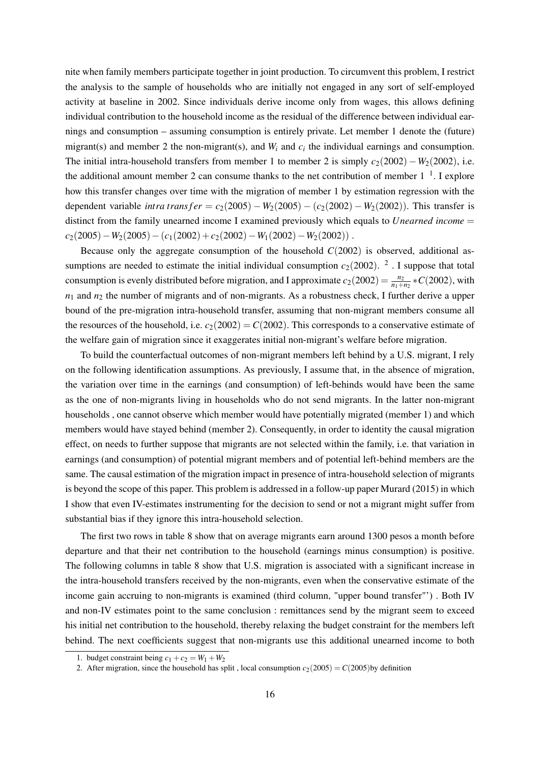nite when family members participate together in joint production. To circumvent this problem, I restrict the analysis to the sample of households who are initially not engaged in any sort of self-employed activity at baseline in 2002. Since individuals derive income only from wages, this allows defining individual contribution to the household income as the residual of the difference between individual earnings and consumption – assuming consumption is entirely private. Let member 1 denote the (future) migrant(s) and member 2 the non-migrant(s), and  $W_i$  and  $c_i$  the individual earnings and consumption. The initial intra-household transfers from member 1 to member 2 is simply  $c_2(2002) - W_2(2002)$ , i.e. the additional amount member 2 can consume thanks to the net contribution of member  $1^{-1}$ . I explore how this transfer changes over time with the migration of member 1 by estimation regression with the dependent variable *intra transfer* =  $c_2(2005) - W_2(2005) - (c_2(2002) - W_2(2002))$ . This transfer is distinct from the family unearned income I examined previously which equals to *Unearned income* =  $c_2(2005)-W_2(2005)-(c_1(2002)+c_2(2002)-W_1(2002)-W_2(2002))$ .

Because only the aggregate consumption of the household  $C(2002)$  is observed, additional assumptions are needed to estimate the initial individual consumption  $c_2(2002)$ . <sup>2</sup>. I suppose that total consumption is evenly distributed before migration, and I approximate  $c_2(2002) = \frac{n_2}{n_1+n_2} * C(2002)$ , with  $n_1$  and  $n_2$  the number of migrants and of non-migrants. As a robustness check, I further derive a upper bound of the pre-migration intra-household transfer, assuming that non-migrant members consume all the resources of the household, i.e.  $c_2(2002) = C(2002)$ . This corresponds to a conservative estimate of the welfare gain of migration since it exaggerates initial non-migrant's welfare before migration.

To build the counterfactual outcomes of non-migrant members left behind by a U.S. migrant, I rely on the following identification assumptions. As previously, I assume that, in the absence of migration, the variation over time in the earnings (and consumption) of left-behinds would have been the same as the one of non-migrants living in households who do not send migrants. In the latter non-migrant households , one cannot observe which member would have potentially migrated (member 1) and which members would have stayed behind (member 2). Consequently, in order to identity the causal migration effect, on needs to further suppose that migrants are not selected within the family, i.e. that variation in earnings (and consumption) of potential migrant members and of potential left-behind members are the same. The causal estimation of the migration impact in presence of intra-household selection of migrants is beyond the scope of this paper. This problem is addressed in a follow-up paper Murard (2015) in which I show that even IV-estimates instrumenting for the decision to send or not a migrant might suffer from substantial bias if they ignore this intra-household selection.

The first two rows in table 8 show that on average migrants earn around 1300 pesos a month before departure and that their net contribution to the household (earnings minus consumption) is positive. The following columns in table 8 show that U.S. migration is associated with a significant increase in the intra-household transfers received by the non-migrants, even when the conservative estimate of the income gain accruing to non-migrants is examined (third column, "upper bound transfer"') . Both IV and non-IV estimates point to the same conclusion : remittances send by the migrant seem to exceed his initial net contribution to the household, thereby relaxing the budget constraint for the members left behind. The next coefficients suggest that non-migrants use this additional unearned income to both

<sup>1.</sup> budget constraint being  $c_1 + c_2 = W_1 + W_2$ 

<sup>2.</sup> After migration, since the household has split, local consumption  $c_2(2005) = C(2005)$  by definition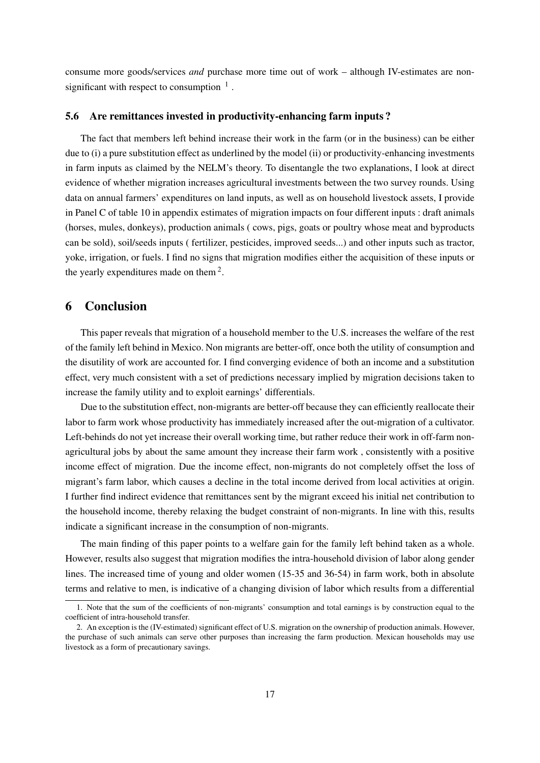consume more goods/services *and* purchase more time out of work – although IV-estimates are nonsignificant with respect to consumption  $<sup>1</sup>$ .</sup>

#### 5.6 Are remittances invested in productivity-enhancing farm inputs ?

The fact that members left behind increase their work in the farm (or in the business) can be either due to (i) a pure substitution effect as underlined by the model (ii) or productivity-enhancing investments in farm inputs as claimed by the NELM's theory. To disentangle the two explanations, I look at direct evidence of whether migration increases agricultural investments between the two survey rounds. Using data on annual farmers' expenditures on land inputs, as well as on household livestock assets, I provide in Panel C of table 10 in appendix estimates of migration impacts on four different inputs : draft animals (horses, mules, donkeys), production animals ( cows, pigs, goats or poultry whose meat and byproducts can be sold), soil/seeds inputs ( fertilizer, pesticides, improved seeds...) and other inputs such as tractor, yoke, irrigation, or fuels. I find no signs that migration modifies either the acquisition of these inputs or the yearly expenditures made on them<sup>2</sup>.

## 6 Conclusion

This paper reveals that migration of a household member to the U.S. increases the welfare of the rest of the family left behind in Mexico. Non migrants are better-off, once both the utility of consumption and the disutility of work are accounted for. I find converging evidence of both an income and a substitution effect, very much consistent with a set of predictions necessary implied by migration decisions taken to increase the family utility and to exploit earnings' differentials.

Due to the substitution effect, non-migrants are better-off because they can efficiently reallocate their labor to farm work whose productivity has immediately increased after the out-migration of a cultivator. Left-behinds do not yet increase their overall working time, but rather reduce their work in off-farm nonagricultural jobs by about the same amount they increase their farm work , consistently with a positive income effect of migration. Due the income effect, non-migrants do not completely offset the loss of migrant's farm labor, which causes a decline in the total income derived from local activities at origin. I further find indirect evidence that remittances sent by the migrant exceed his initial net contribution to the household income, thereby relaxing the budget constraint of non-migrants. In line with this, results indicate a significant increase in the consumption of non-migrants.

The main finding of this paper points to a welfare gain for the family left behind taken as a whole. However, results also suggest that migration modifies the intra-household division of labor along gender lines. The increased time of young and older women (15-35 and 36-54) in farm work, both in absolute terms and relative to men, is indicative of a changing division of labor which results from a differential

<sup>1.</sup> Note that the sum of the coefficients of non-migrants' consumption and total earnings is by construction equal to the coefficient of intra-household transfer.

<sup>2.</sup> An exception is the (IV-estimated) significant effect of U.S. migration on the ownership of production animals. However, the purchase of such animals can serve other purposes than increasing the farm production. Mexican households may use livestock as a form of precautionary savings.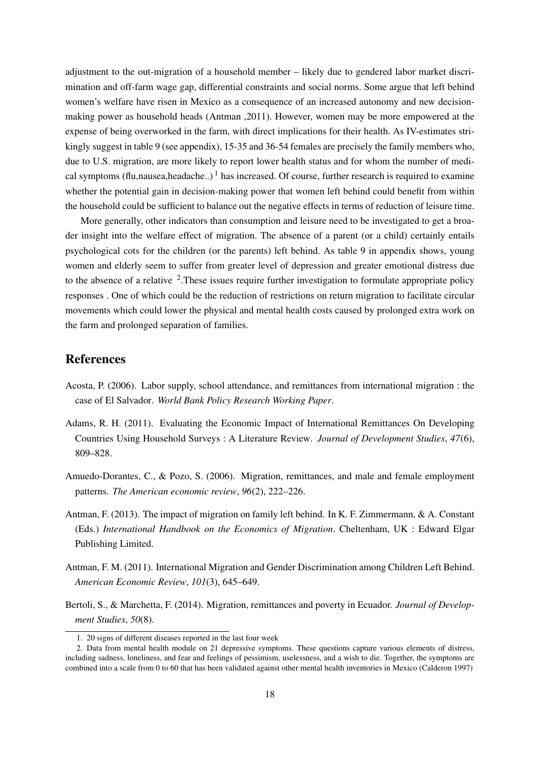adjustment to the out-migration of a household member – likely due to gendered labor market discrimination and off-farm wage gap, differential constraints and social norms. Some argue that left behind women's welfare have risen in Mexico as a consequence of an increased autonomy and new decisionmaking power as household heads (Antman ,2011). However, women may be more empowered at the expense of being overworked in the farm, with direct implications for their health. As IV-estimates strikingly suggest in table 9 (see appendix), 15-35 and 36-54 females are precisely the family members who, due to U.S. migration, are more likely to report lower health status and for whom the number of medical symptoms (flu,nausea,headache..)<sup>1</sup> has increased. Of course, further research is required to examine whether the potential gain in decision-making power that women left behind could benefit from within the household could be sufficient to balance out the negative effects in terms of reduction of leisure time.

More generally, other indicators than consumption and leisure need to be investigated to get a broader insight into the welfare effect of migration. The absence of a parent (or a child) certainly entails psychological cots for the children (or the parents) left behind. As table 9 in appendix shows, young women and elderly seem to suffer from greater level of depression and greater emotional distress due to the absence of a relative <sup>2</sup>. These issues require further investigation to formulate appropriate policy responses . One of which could be the reduction of restrictions on return migration to facilitate circular movements which could lower the physical and mental health costs caused by prolonged extra work on the farm and prolonged separation of families.

## References

- Acosta, P. (2006). Labor supply, school attendance, and remittances from international migration : the case of El Salvador. *World Bank Policy Research Working Paper*.
- Adams, R. H. (2011). Evaluating the Economic Impact of International Remittances On Developing Countries Using Household Surveys : A Literature Review. *Journal of Development Studies*, *47*(6), 809–828.
- Amuedo-Dorantes, C., & Pozo, S. (2006). Migration, remittances, and male and female employment patterns. *The American economic review*, *96*(2), 222–226.
- Antman, F. (2013). The impact of migration on family left behind. In K. F. Zimmermann, & A. Constant (Eds.) *International Handbook on the Economics of Migration*. Cheltenham, UK : Edward Elgar Publishing Limited.
- Antman, F. M. (2011). International Migration and Gender Discrimination among Children Left Behind. *American Economic Review*, *101*(3), 645–649.
- Bertoli, S., & Marchetta, F. (2014). Migration, remittances and poverty in Ecuador. *Journal of Development Studies*, *50*(8).

<sup>1. 20</sup> signs of different diseases reported in the last four week

<sup>2.</sup> Data from mental health module on 21 depressive symptoms. These questions capture various elements of distress, including sadness, loneliness, and fear and feelings of pessimism, uselessness, and a wish to die. Together, the symptoms are combined into a scale from 0 to 60 that has been validated against other mental health inventories in Mexico (Calderon 1997)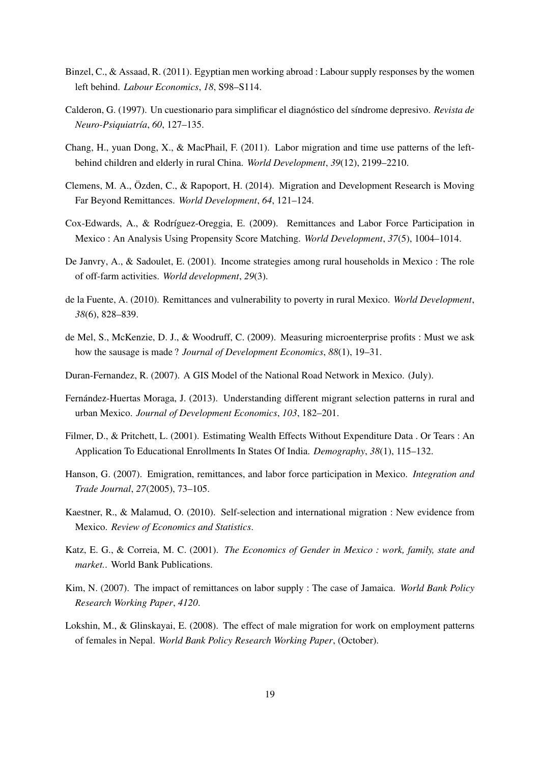- Binzel, C., & Assaad, R. (2011). Egyptian men working abroad : Labour supply responses by the women left behind. *Labour Economics*, *18*, S98–S114.
- Calderon, G. (1997). Un cuestionario para simplificar el diagnóstico del síndrome depresivo. *Revista de Neuro-Psiquiatría*, *60*, 127–135.
- Chang, H., yuan Dong, X., & MacPhail, F. (2011). Labor migration and time use patterns of the leftbehind children and elderly in rural China. *World Development*, *39*(12), 2199–2210.
- Clemens, M. A., Özden, C., & Rapoport, H. (2014). Migration and Development Research is Moving Far Beyond Remittances. *World Development*, *64*, 121–124.
- Cox-Edwards, A., & Rodríguez-Oreggia, E. (2009). Remittances and Labor Force Participation in Mexico : An Analysis Using Propensity Score Matching. *World Development*, *37*(5), 1004–1014.
- De Janvry, A., & Sadoulet, E. (2001). Income strategies among rural households in Mexico : The role of off-farm activities. *World development*, *29*(3).
- de la Fuente, A. (2010). Remittances and vulnerability to poverty in rural Mexico. *World Development*, *38*(6), 828–839.
- de Mel, S., McKenzie, D. J., & Woodruff, C. (2009). Measuring microenterprise profits : Must we ask how the sausage is made ? *Journal of Development Economics*, *88*(1), 19–31.
- Duran-Fernandez, R. (2007). A GIS Model of the National Road Network in Mexico. (July).
- Fernández-Huertas Moraga, J. (2013). Understanding different migrant selection patterns in rural and urban Mexico. *Journal of Development Economics*, *103*, 182–201.
- Filmer, D., & Pritchett, L. (2001). Estimating Wealth Effects Without Expenditure Data . Or Tears : An Application To Educational Enrollments In States Of India. *Demography*, *38*(1), 115–132.
- Hanson, G. (2007). Emigration, remittances, and labor force participation in Mexico. *Integration and Trade Journal*, *27*(2005), 73–105.
- Kaestner, R., & Malamud, O. (2010). Self-selection and international migration : New evidence from Mexico. *Review of Economics and Statistics*.
- Katz, E. G., & Correia, M. C. (2001). *The Economics of Gender in Mexico : work, family, state and market.*. World Bank Publications.
- Kim, N. (2007). The impact of remittances on labor supply : The case of Jamaica. *World Bank Policy Research Working Paper*, *4120*.
- Lokshin, M., & Glinskayai, E. (2008). The effect of male migration for work on employment patterns of females in Nepal. *World Bank Policy Research Working Paper*, (October).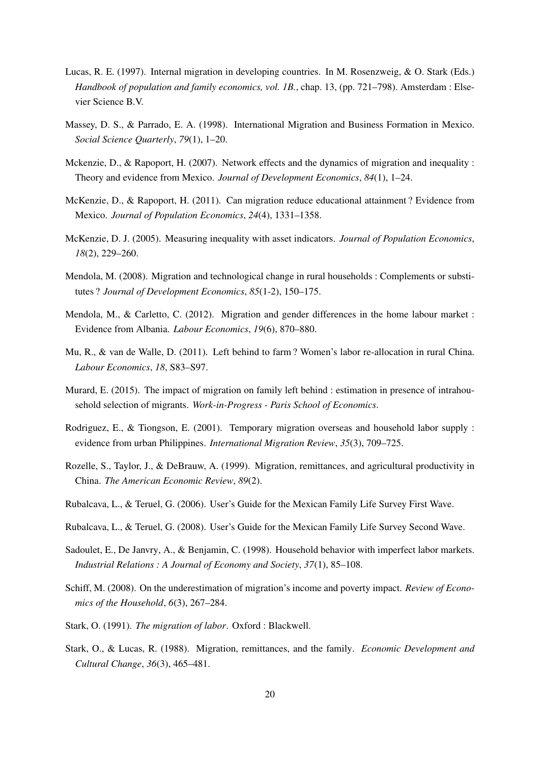- Lucas, R. E. (1997). Internal migration in developing countries. In M. Rosenzweig, & O. Stark (Eds.) *Handbook of population and family economics, vol. 1B.*, chap. 13, (pp. 721–798). Amsterdam : Elsevier Science B.V.
- Massey, D. S., & Parrado, E. A. (1998). International Migration and Business Formation in Mexico. *Social Science Quarterly*, *79*(1), 1–20.
- Mckenzie, D., & Rapoport, H. (2007). Network effects and the dynamics of migration and inequality : Theory and evidence from Mexico. *Journal of Development Economics*, *84*(1), 1–24.
- McKenzie, D., & Rapoport, H. (2011). Can migration reduce educational attainment ? Evidence from Mexico. *Journal of Population Economics*, *24*(4), 1331–1358.
- McKenzie, D. J. (2005). Measuring inequality with asset indicators. *Journal of Population Economics*, *18*(2), 229–260.
- Mendola, M. (2008). Migration and technological change in rural households : Complements or substitutes ? *Journal of Development Economics*, *85*(1-2), 150–175.
- Mendola, M., & Carletto, C. (2012). Migration and gender differences in the home labour market : Evidence from Albania. *Labour Economics*, *19*(6), 870–880.
- Mu, R., & van de Walle, D. (2011). Left behind to farm ? Women's labor re-allocation in rural China. *Labour Economics*, *18*, S83–S97.
- Murard, E. (2015). The impact of migration on family left behind : estimation in presence of intrahousehold selection of migrants. *Work-in-Progress - Paris School of Economics*.
- Rodriguez, E., & Tiongson, E. (2001). Temporary migration overseas and household labor supply : evidence from urban Philippines. *International Migration Review*, *35*(3), 709–725.
- Rozelle, S., Taylor, J., & DeBrauw, A. (1999). Migration, remittances, and agricultural productivity in China. *The American Economic Review*, *89*(2).
- Rubalcava, L., & Teruel, G. (2006). User's Guide for the Mexican Family Life Survey First Wave.
- Rubalcava, L., & Teruel, G. (2008). User's Guide for the Mexican Family Life Survey Second Wave.
- Sadoulet, E., De Janvry, A., & Benjamin, C. (1998). Household behavior with imperfect labor markets. *Industrial Relations : A Journal of Economy and Society*, *37*(1), 85–108.
- Schiff, M. (2008). On the underestimation of migration's income and poverty impact. *Review of Economics of the Household*, *6*(3), 267–284.
- Stark, O. (1991). *The migration of labor*. Oxford : Blackwell.
- Stark, O., & Lucas, R. (1988). Migration, remittances, and the family. *Economic Development and Cultural Change*, *36*(3), 465–481.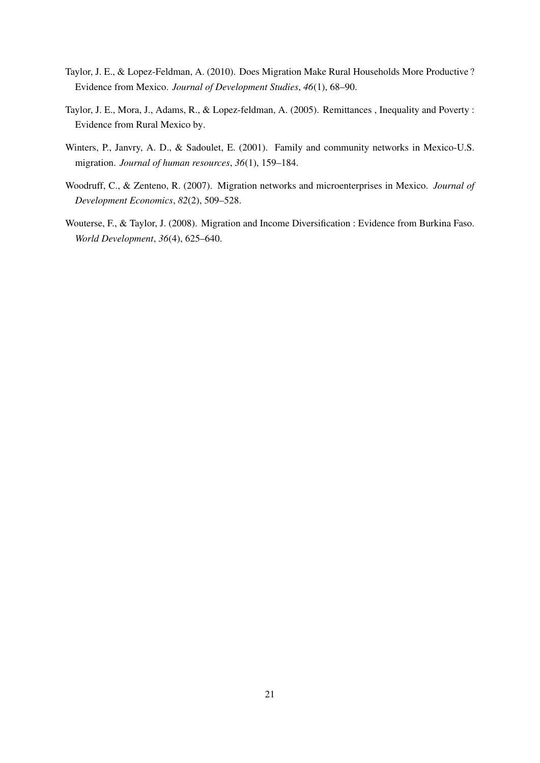- Taylor, J. E., & Lopez-Feldman, A. (2010). Does Migration Make Rural Households More Productive ? Evidence from Mexico. *Journal of Development Studies*, *46*(1), 68–90.
- Taylor, J. E., Mora, J., Adams, R., & Lopez-feldman, A. (2005). Remittances , Inequality and Poverty : Evidence from Rural Mexico by.
- Winters, P., Janvry, A. D., & Sadoulet, E. (2001). Family and community networks in Mexico-U.S. migration. *Journal of human resources*, *36*(1), 159–184.
- Woodruff, C., & Zenteno, R. (2007). Migration networks and microenterprises in Mexico. *Journal of Development Economics*, *82*(2), 509–528.
- Wouterse, F., & Taylor, J. (2008). Migration and Income Diversification : Evidence from Burkina Faso. *World Development*, *36*(4), 625–640.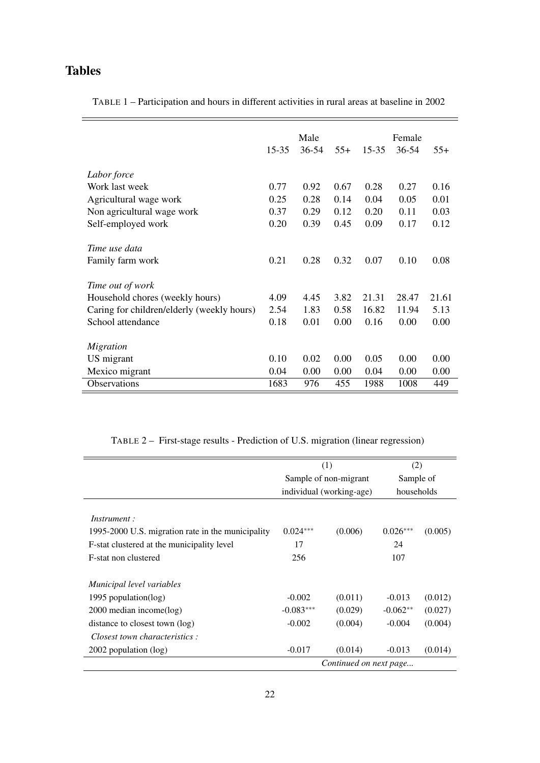# Tables

TABLE 1 – Participation and hours in different activities in rural areas at baseline in 2002

|                                            | $15 - 35$ | Male<br>$36 - 54$ | $55+$ | $15 - 35$ | Female<br>$36 - 54$ | $55+$ |
|--------------------------------------------|-----------|-------------------|-------|-----------|---------------------|-------|
| Labor force                                |           |                   |       |           |                     |       |
| Work last week                             | 0.77      | 0.92              | 0.67  | 0.28      | 0.27                | 0.16  |
| Agricultural wage work                     | 0.25      | 0.28              | 0.14  | 0.04      | 0.05                | 0.01  |
| Non agricultural wage work                 | 0.37      | 0.29              | 0.12  | 0.20      | 0.11                | 0.03  |
| Self-employed work                         | 0.20      | 0.39              | 0.45  | 0.09      | 0.17                | 0.12  |
| Time use data                              |           |                   |       |           |                     |       |
| Family farm work                           | 0.21      | 0.28              | 0.32  | 0.07      | 0.10                | 0.08  |
| Time out of work                           |           |                   |       |           |                     |       |
| Household chores (weekly hours)            | 4.09      | 4.45              | 3.82  | 21.31     | 28.47               | 21.61 |
| Caring for children/elderly (weekly hours) | 2.54      | 1.83              | 0.58  | 16.82     | 11.94               | 5.13  |
| School attendance                          | 0.18      | 0.01              | 0.00  | 0.16      | 0.00                | 0.00  |
| Migration                                  |           |                   |       |           |                     |       |
| US migrant                                 | 0.10      | 0.02              | 0.00  | 0.05      | 0.00                | 0.00  |
| Mexico migrant                             | 0.04      | 0.00              | 0.00  | 0.04      | 0.00                | 0.00  |
| <b>Observations</b>                        | 1683      | 976               | 455   | 1988      | 1008                | 449   |

TABLE 2 – First-stage results - Prediction of U.S. migration (linear regression)

|                                                   |                        | (1)                      | (2)        |         |  |
|---------------------------------------------------|------------------------|--------------------------|------------|---------|--|
|                                                   |                        | Sample of non-migrant    | Sample of  |         |  |
|                                                   |                        | individual (working-age) | households |         |  |
| <i>Instrument</i> :                               |                        |                          |            |         |  |
| 1995-2000 U.S. migration rate in the municipality | $0.024***$             | (0.006)                  | $0.026***$ | (0.005) |  |
| F-stat clustered at the municipality level        | 17                     |                          | 24         |         |  |
| F-stat non clustered                              | 256                    |                          | 107        |         |  |
| Municipal level variables                         |                        |                          |            |         |  |
| 1995 population( $log$ )                          | $-0.002$               | (0.011)                  | $-0.013$   | (0.012) |  |
| 2000 median income(log)                           | $-0.083***$            | (0.029)                  | $-0.062**$ | (0.027) |  |
| distance to closest town (log)                    | $-0.002$               | (0.004)                  | $-0.004$   | (0.004) |  |
| Closest town characteristics:                     |                        |                          |            |         |  |
| 2002 population (log)                             | $-0.017$               | (0.014)                  | $-0.013$   | (0.014) |  |
|                                                   | Continued on next page |                          |            |         |  |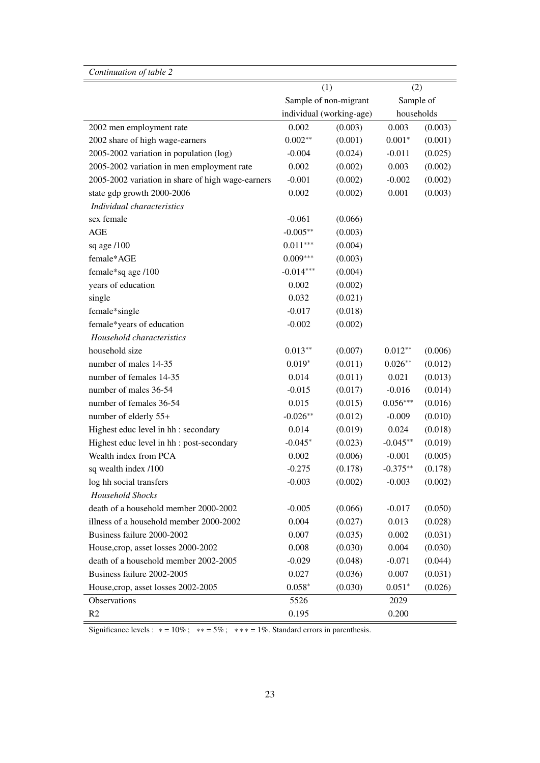| Continuation of table 2                           |             |                          |            |         |  |
|---------------------------------------------------|-------------|--------------------------|------------|---------|--|
|                                                   |             | (1)                      | (2)        |         |  |
|                                                   |             | Sample of non-migrant    | Sample of  |         |  |
|                                                   |             | individual (working-age) | households |         |  |
| 2002 men employment rate                          | 0.002       | (0.003)                  | 0.003      | (0.003) |  |
| 2002 share of high wage-earners                   | $0.002**$   | (0.001)                  | $0.001*$   | (0.001) |  |
| 2005-2002 variation in population (log)           | $-0.004$    | (0.024)                  | $-0.011$   | (0.025) |  |
| 2005-2002 variation in men employment rate        | 0.002       | (0.002)                  | 0.003      | (0.002) |  |
| 2005-2002 variation in share of high wage-earners | $-0.001$    | (0.002)                  | $-0.002$   | (0.002) |  |
| state gdp growth 2000-2006                        | 0.002       | (0.002)                  | 0.001      | (0.003) |  |
| Individual characteristics                        |             |                          |            |         |  |
| sex female                                        | $-0.061$    | (0.066)                  |            |         |  |
| $\mathbf{AGE}$                                    | $-0.005**$  | (0.003)                  |            |         |  |
| sq age /100                                       | $0.011***$  | (0.004)                  |            |         |  |
| female*AGE                                        | $0.009***$  | (0.003)                  |            |         |  |
| female*sq age /100                                | $-0.014***$ | (0.004)                  |            |         |  |
| years of education                                | 0.002       | (0.002)                  |            |         |  |
| single                                            | 0.032       | (0.021)                  |            |         |  |
| female*single                                     | $-0.017$    | (0.018)                  |            |         |  |
| female*years of education                         | $-0.002$    | (0.002)                  |            |         |  |
| Household characteristics                         |             |                          |            |         |  |
| household size                                    | $0.013**$   | (0.007)                  | $0.012**$  | (0.006) |  |
| number of males 14-35                             | $0.019*$    | (0.011)                  | $0.026**$  | (0.012) |  |
| number of females 14-35                           | 0.014       | (0.011)                  | 0.021      | (0.013) |  |
| number of males 36-54                             | $-0.015$    | (0.017)                  | $-0.016$   | (0.014) |  |
| number of females 36-54                           | 0.015       | (0.015)                  | $0.056***$ | (0.016) |  |
| number of elderly 55+                             | $-0.026**$  | (0.012)                  | $-0.009$   | (0.010) |  |
| Highest educ level in hh : secondary              | 0.014       | (0.019)                  | 0.024      | (0.018) |  |
| Highest educ level in hh : post-secondary         | $-0.045*$   | (0.023)                  | $-0.045**$ | (0.019) |  |
| Wealth index from PCA                             | 0.002       | (0.006)                  | $-0.001$   | (0.005) |  |
| sq wealth index /100                              | $-0.275$    | (0.178)                  | $-0.375**$ | (0.178) |  |
| log hh social transfers                           | $-0.003$    | (0.002)                  | $-0.003$   | (0.002) |  |
| <b>Household Shocks</b>                           |             |                          |            |         |  |
| death of a household member 2000-2002             | $-0.005$    | (0.066)                  | $-0.017$   | (0.050) |  |
| illness of a household member 2000-2002           | 0.004       | (0.027)                  | 0.013      | (0.028) |  |
| Business failure 2000-2002                        | 0.007       | (0.035)                  | 0.002      | (0.031) |  |
| House, crop, asset losses 2000-2002               | 0.008       | (0.030)                  | 0.004      | (0.030) |  |
| death of a household member 2002-2005             | $-0.029$    | (0.048)                  | $-0.071$   | (0.044) |  |
| Business failure 2002-2005                        | 0.027       | (0.036)                  | 0.007      | (0.031) |  |
| House, crop, asset losses 2002-2005               | $0.058*$    | (0.030)                  | $0.051*$   | (0.026) |  |
| Observations                                      | 5526        |                          | 2029       |         |  |
| R2                                                | 0.195       |                          | 0.200      |         |  |

Significance levels :  $* = 10\%$ ;  $** = 5\%$ ;  $** = 1\%$ . Standard errors in parenthesis.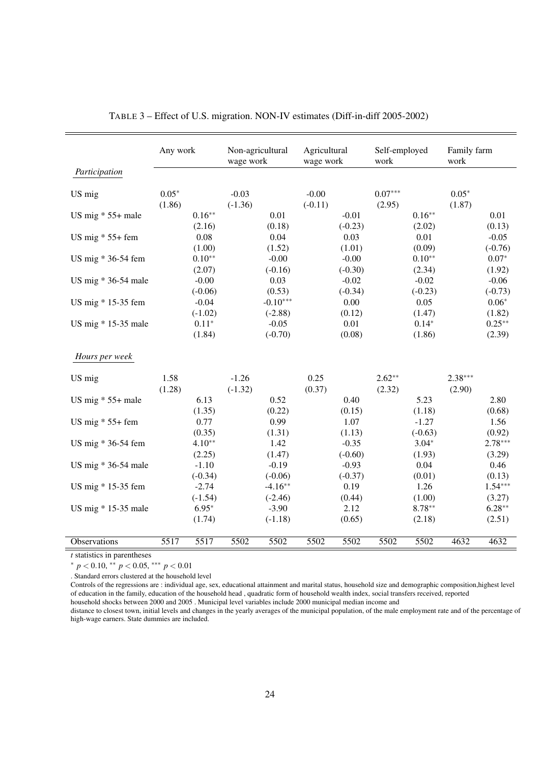|                       | Any work          |                      | Non-agricultural<br>wage work |                         | Agricultural<br>wage work |                      | Self-employed<br>work |                      | Family farm<br>work |                      |
|-----------------------|-------------------|----------------------|-------------------------------|-------------------------|---------------------------|----------------------|-----------------------|----------------------|---------------------|----------------------|
| Participation         |                   |                      |                               |                         |                           |                      |                       |                      |                     |                      |
| US mig                | $0.05*$<br>(1.86) |                      | $-0.03$<br>$(-1.36)$          |                         | $-0.00$<br>$(-0.11)$      |                      | $0.07***$<br>(2.95)   |                      | $0.05*$<br>(1.87)   |                      |
| US mig $* 55+$ male   |                   | $0.16**$<br>(2.16)   |                               | 0.01<br>(0.18)          |                           | $-0.01$<br>$(-0.23)$ |                       | $0.16**$<br>(2.02)   |                     | 0.01<br>(0.13)       |
| US mig $* 55+$ fem    |                   | 0.08<br>(1.00)       |                               | 0.04<br>(1.52)          |                           | 0.03<br>(1.01)       |                       | 0.01<br>(0.09)       |                     | $-0.05$<br>$(-0.76)$ |
| US mig * 36-54 fem    |                   | $0.10**$<br>(2.07)   |                               | $-0.00$<br>$(-0.16)$    |                           | $-0.00$<br>$(-0.30)$ |                       | $0.10**$<br>(2.34)   |                     | $0.07*$<br>(1.92)    |
| US mig * 36-54 male   |                   | $-0.00$<br>$(-0.06)$ |                               | 0.03<br>(0.53)          |                           | $-0.02$<br>$(-0.34)$ |                       | $-0.02$<br>$(-0.23)$ |                     | $-0.06$<br>$(-0.73)$ |
| US mig * 15-35 fem    |                   | $-0.04$<br>$(-1.02)$ |                               | $-0.10***$<br>$(-2.88)$ |                           | 0.00<br>(0.12)       |                       | 0.05<br>(1.47)       |                     | $0.06*$<br>(1.82)    |
| US mig $*$ 15-35 male |                   | $0.11*$<br>(1.84)    |                               | $-0.05$<br>$(-0.70)$    |                           | 0.01<br>(0.08)       |                       | $0.14*$<br>(1.86)    |                     | $0.25**$<br>(2.39)   |
| Hours per week        |                   |                      |                               |                         |                           |                      |                       |                      |                     |                      |
| US mig                | 1.58<br>(1.28)    |                      | $-1.26$<br>$(-1.32)$          |                         | 0.25<br>(0.37)            |                      | $2.62**$<br>(2.32)    |                      | $2.38***$<br>(2.90) |                      |
| US mig $* 55+$ male   |                   | 6.13<br>(1.35)       |                               | 0.52<br>(0.22)          |                           | 0.40<br>(0.15)       |                       | 5.23<br>(1.18)       |                     | 2.80<br>(0.68)       |
| US mig $* 55+$ fem    |                   | 0.77<br>(0.35)       |                               | 0.99<br>(1.31)          |                           | 1.07<br>(1.13)       |                       | $-1.27$<br>$(-0.63)$ |                     | 1.56<br>(0.92)       |
| US mig * 36-54 fem    |                   | $4.10**$<br>(2.25)   |                               | 1.42<br>(1.47)          |                           | $-0.35$<br>$(-0.60)$ |                       | $3.04*$<br>(1.93)    |                     | $2.78***$<br>(3.29)  |
| US mig $*$ 36-54 male |                   | $-1.10$<br>$(-0.34)$ |                               | $-0.19$<br>$(-0.06)$    |                           | $-0.93$<br>$(-0.37)$ |                       | 0.04<br>(0.01)       |                     | 0.46<br>(0.13)       |
| US mig * 15-35 fem    |                   | $-2.74$<br>$(-1.54)$ |                               | $-4.16**$<br>$(-2.46)$  |                           | 0.19<br>(0.44)       |                       | 1.26<br>(1.00)       |                     | $1.54***$<br>(3.27)  |
| US mig * 15-35 male   |                   | $6.95*$<br>(1.74)    |                               | $-3.90$<br>$(-1.18)$    |                           | 2.12<br>(0.65)       |                       | $8.78***$<br>(2.18)  |                     | $6.28**$<br>(2.51)   |
| Observations          | 5517              | 5517                 | 5502                          | 5502                    | 5502                      | 5502                 | 5502                  | 5502                 | 4632                | 4632                 |

|  | TABLE 3 – Effect of U.S. migration. NON-IV estimates (Diff-in-diff 2005-2002) |  |  |  |
|--|-------------------------------------------------------------------------------|--|--|--|
|--|-------------------------------------------------------------------------------|--|--|--|

*t* statistics in parentheses

<sup>∗</sup> *p* < 0.10, ∗∗ *p* < 0.05, ∗∗∗ *p* < 0.01

. Standard errors clustered at the household level

Controls of the regressions are : individual age, sex, educational attainment and marital status, household size and demographic composition,highest level of education in the family, education of the household head , quadratic form of household wealth index, social transfers received, reported household shocks between 2000 and 2005 . Municipal level variables include 2000 municipal median income and

distance to closest town, initial levels and changes in the yearly averages of the municipal population, of the male employment rate and of the percentage of high-wage earners. State dummies are included.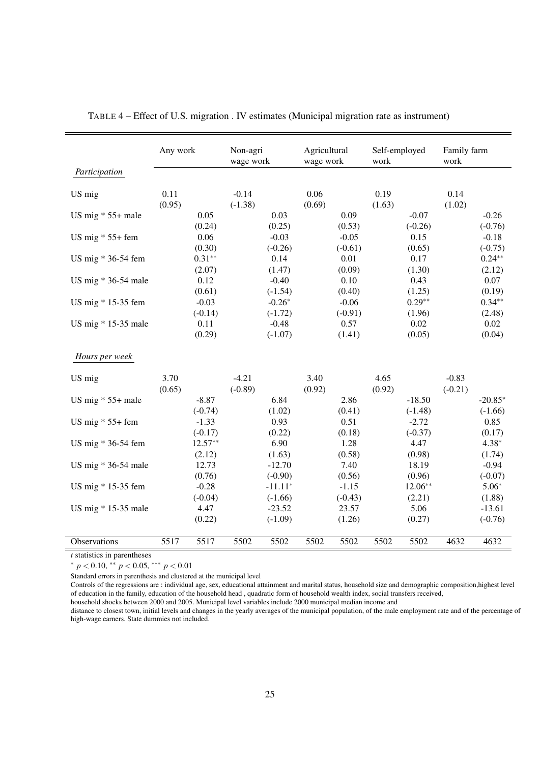|                       | Any work       |                      | Non-agri<br>wage work |                        | Agricultural<br>wage work |                      | Self-employed<br>work |                       | Family farm<br>work  |                        |
|-----------------------|----------------|----------------------|-----------------------|------------------------|---------------------------|----------------------|-----------------------|-----------------------|----------------------|------------------------|
| Participation         |                |                      |                       |                        |                           |                      |                       |                       |                      |                        |
| US mig                | 0.11<br>(0.95) |                      | $-0.14$<br>$(-1.38)$  |                        | 0.06<br>(0.69)            |                      | 0.19<br>(1.63)        |                       | 0.14<br>(1.02)       |                        |
| US mig $* 55+$ male   |                | 0.05<br>(0.24)       |                       | 0.03<br>(0.25)         |                           | 0.09<br>(0.53)       |                       | $-0.07$<br>$(-0.26)$  |                      | $-0.26$<br>$(-0.76)$   |
| US mig $* 55+$ fem    |                | 0.06<br>(0.30)       |                       | $-0.03$<br>$(-0.26)$   |                           | $-0.05$<br>$(-0.61)$ |                       | 0.15<br>(0.65)        |                      | $-0.18$<br>$(-0.75)$   |
| US mig * 36-54 fem    |                | $0.31**$<br>(2.07)   |                       | 0.14<br>(1.47)         |                           | $0.01\,$<br>(0.09)   |                       | 0.17<br>(1.30)        |                      | $0.24**$<br>(2.12)     |
| US mig $*$ 36-54 male |                | 0.12<br>(0.61)       |                       | $-0.40$<br>$(-1.54)$   |                           | 0.10<br>(0.40)       |                       | 0.43<br>(1.25)        |                      | 0.07<br>(0.19)         |
| US mig * 15-35 fem    |                | $-0.03$<br>$(-0.14)$ |                       | $-0.26*$<br>$(-1.72)$  |                           | $-0.06$<br>$(-0.91)$ |                       | $0.29**$<br>(1.96)    |                      | $0.34**$<br>(2.48)     |
| US mig $*$ 15-35 male |                | 0.11<br>(0.29)       |                       | $-0.48$<br>$(-1.07)$   |                           | 0.57<br>(1.41)       |                       | 0.02<br>(0.05)        |                      | $0.02\,$<br>(0.04)     |
| Hours per week        |                |                      |                       |                        |                           |                      |                       |                       |                      |                        |
| US mig                | 3.70<br>(0.65) |                      | $-4.21$<br>$(-0.89)$  |                        | 3.40<br>(0.92)            |                      | 4.65<br>(0.92)        |                       | $-0.83$<br>$(-0.21)$ |                        |
| US mig $* 55+$ male   |                | $-8.87$<br>$(-0.74)$ |                       | 6.84<br>(1.02)         |                           | 2.86<br>(0.41)       |                       | $-18.50$<br>$(-1.48)$ |                      | $-20.85*$<br>$(-1.66)$ |
| US mig $* 55+$ fem    |                | $-1.33$<br>$(-0.17)$ |                       | 0.93<br>(0.22)         |                           | 0.51<br>(0.18)       |                       | $-2.72$<br>$(-0.37)$  |                      | 0.85<br>(0.17)         |
| US mig * 36-54 fem    |                | $12.57**$<br>(2.12)  |                       | 6.90<br>(1.63)         |                           | 1.28<br>(0.58)       |                       | 4.47<br>(0.98)        |                      | $4.38*$<br>(1.74)      |
| US mig $*$ 36-54 male |                | 12.73<br>(0.76)      |                       | $-12.70$<br>$(-0.90)$  |                           | 7.40<br>(0.56)       |                       | 18.19<br>(0.96)       |                      | $-0.94$<br>$(-0.07)$   |
| US mig * 15-35 fem    |                | $-0.28$<br>$(-0.04)$ |                       | $-11.11*$<br>$(-1.66)$ |                           | $-1.15$<br>$(-0.43)$ |                       | $12.06**$<br>(2.21)   |                      | $5.06*$<br>(1.88)      |
| US mig $*$ 15-35 male |                | 4.47<br>(0.22)       |                       | $-23.52$<br>$(-1.09)$  |                           | 23.57<br>(1.26)      |                       | 5.06<br>(0.27)        |                      | $-13.61$<br>$(-0.76)$  |
| Observations          | 5517           | 5517                 | 5502                  | 5502                   | 5502                      | 5502                 | 5502                  | 5502                  | 4632                 | 4632                   |

| TABLE 4 – Effect of U.S. migration . IV estimates (Municipal migration rate as instrument) |  |  |
|--------------------------------------------------------------------------------------------|--|--|
|                                                                                            |  |  |

*t* statistics in parentheses

<sup>∗</sup> *p* < 0.10, ∗∗ *p* < 0.05, ∗∗∗ *p* < 0.01

Standard errors in parenthesis and clustered at the municipal level

Controls of the regressions are : individual age, sex, educational attainment and marital status, household size and demographic composition,highest level of education in the family, education of the household head , quadratic form of household wealth index, social transfers received,

household shocks between 2000 and 2005. Municipal level variables include 2000 municipal median income and

distance to closest town, initial levels and changes in the yearly averages of the municipal population, of the male employment rate and of the percentage of high-wage earners. State dummies not included.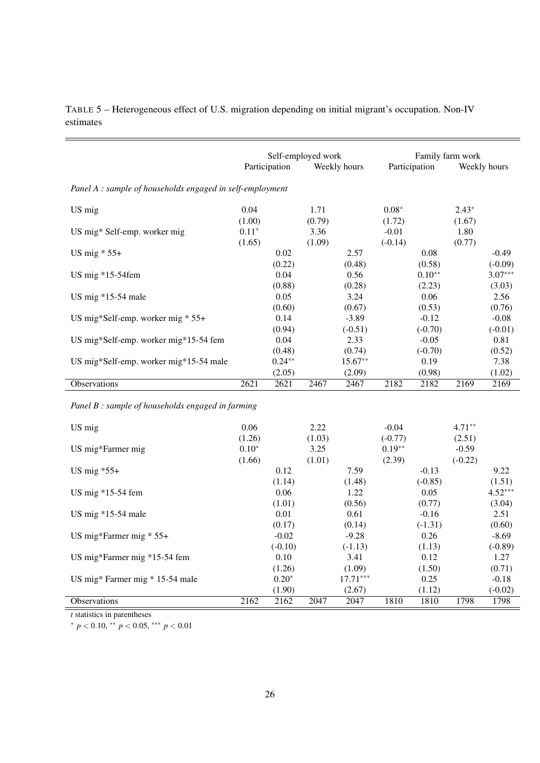|                                                           | Self-employed work |               |        | Family farm work |           |               |         |              |
|-----------------------------------------------------------|--------------------|---------------|--------|------------------|-----------|---------------|---------|--------------|
|                                                           |                    | Participation |        | Weekly hours     |           | Participation |         | Weekly hours |
| Panel A : sample of households engaged in self-employment |                    |               |        |                  |           |               |         |              |
| US mig                                                    | 0.04               |               | 1.71   |                  | $0.08*$   |               | $2.43*$ |              |
|                                                           | (1.00)             |               | (0.79) |                  | (1.72)    |               | (1.67)  |              |
| US mig* Self-emp. worker mig                              | $0.11*$            |               | 3.36   |                  | $-0.01$   |               | 1.80    |              |
|                                                           | (1.65)             |               | (1.09) |                  | $(-0.14)$ |               | (0.77)  |              |
| US mig $* 55+$                                            |                    | 0.02          |        | 2.57             |           | 0.08          |         | $-0.49$      |
|                                                           |                    | (0.22)        |        | (0.48)           |           | (0.58)        |         | $(-0.09)$    |
| US mig $*15-54$ fem                                       |                    | 0.04          |        | 0.56             |           | $0.10**$      |         | $3.07***$    |
|                                                           |                    | (0.88)        |        | (0.28)           |           | (2.23)        |         | (3.03)       |
| US mig $*15-54$ male                                      |                    | 0.05          |        | 3.24             |           | 0.06          |         | 2.56         |
|                                                           |                    | (0.60)        |        | (0.67)           |           | (0.53)        |         | (0.76)       |
| US mig*Self-emp. worker mig $* 55+$                       |                    | 0.14          |        | $-3.89$          |           | $-0.12$       |         | $-0.08$      |
|                                                           |                    | (0.94)        |        | $(-0.51)$        |           | $(-0.70)$     |         | $(-0.01)$    |
| US mig*Self-emp. worker mig*15-54 fem                     |                    | 0.04          |        | 2.33             |           | $-0.05$       |         | 0.81         |
|                                                           |                    | (0.48)        |        | (0.74)           |           | $(-0.70)$     |         | (0.52)       |
| US mig*Self-emp. worker mig*15-54 male                    |                    | $0.24**$      |        | $15.67**$        |           | 0.19          |         | 7.38         |
|                                                           |                    | (2.05)        |        | (2.09)           |           | (0.98)        |         | (1.02)       |
| Observations                                              | 2621               | 2621          | 2467   | 2467             | 2182      | 2182          | 2169    | 2169         |

TABLE 5 – Heterogeneous effect of U.S. migration depending on initial migrant's occupation. Non-IV estimates

*Panel B : sample of households engaged in farming*

| US mig                          | 0.06    |           | 2.22   |            | $-0.04$   |           | $4.71***$ |           |
|---------------------------------|---------|-----------|--------|------------|-----------|-----------|-----------|-----------|
|                                 | (1.26)  |           | (1.03) |            | $(-0.77)$ |           | (2.51)    |           |
| US mig*Farmer mig               | $0.10*$ |           | 3.25   |            | $0.19**$  |           | $-0.59$   |           |
|                                 | (1.66)  |           | (1.01) |            | (2.39)    |           | $(-0.22)$ |           |
| US mig $*55+$                   |         | 0.12      |        | 7.59       |           | $-0.13$   |           | 9.22      |
|                                 |         | (1.14)    |        | (1.48)     |           | $(-0.85)$ |           | (1.51)    |
| US mig $*15-54$ fem             |         | 0.06      |        | 1.22       |           | 0.05      |           | $4.52***$ |
|                                 |         | (1.01)    |        | (0.56)     |           | (0.77)    |           | (3.04)    |
| US mig $*15-54$ male            |         | 0.01      |        | 0.61       |           | $-0.16$   |           | 2.51      |
|                                 |         | (0.17)    |        | (0.14)     |           | $(-1.31)$ |           | (0.60)    |
| US mig*Farmer mig $* 55+$       |         | $-0.02$   |        | $-9.28$    |           | 0.26      |           | $-8.69$   |
|                                 |         | $(-0.10)$ |        | $(-1.13)$  |           | (1.13)    |           | $(-0.89)$ |
| US mig*Farmer mig *15-54 fem    |         | 0.10      |        | 3.41       |           | 0.12      |           | 1.27      |
|                                 |         | (1.26)    |        | (1.09)     |           | (1.50)    |           | (0.71)    |
| US mig* Farmer mig * 15-54 male |         | $0.20*$   |        | $17.71***$ |           | 0.25      |           | $-0.18$   |
|                                 |         | (1.90)    |        | (2.67)     |           | (1.12)    |           | $(-0.02)$ |
| Observations                    | 2162    | 2162      | 2047   | 2047       | 1810      | 1810      | 1798      | 1798      |

*t* statistics in parentheses

<sup>∗</sup> *p* < 0.10, ∗∗ *p* < 0.05, ∗∗∗ *p* < 0.01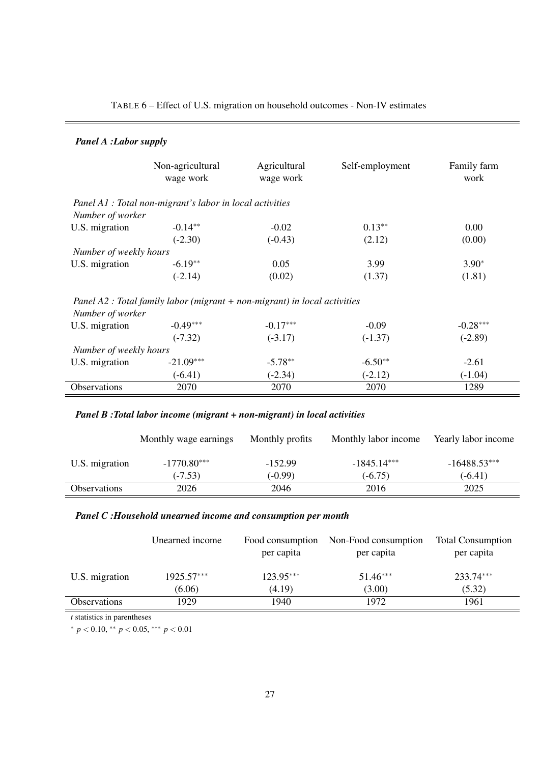|                        | Non-agricultural<br>wage work                                               | Agricultural<br>wage work | Self-employment | Family farm<br>work |
|------------------------|-----------------------------------------------------------------------------|---------------------------|-----------------|---------------------|
|                        | Panel A1 : Total non-migrant's labor in local activities                    |                           |                 |                     |
| Number of worker       |                                                                             |                           |                 |                     |
| U.S. migration         | $-0.14***$                                                                  | $-0.02$                   | $0.13**$        | 0.00                |
|                        | $(-2.30)$                                                                   | $(-0.43)$                 | (2.12)          | (0.00)              |
| Number of weekly hours |                                                                             |                           |                 |                     |
| U.S. migration         | $-6.19**$                                                                   | 0.05                      | 3.99            | $3.90*$             |
|                        | $(-2.14)$                                                                   | (0.02)                    | (1.37)          | (1.81)              |
|                        | Panel A2 : Total family labor (migrant $+$ non-migrant) in local activities |                           |                 |                     |
| Number of worker       |                                                                             |                           |                 |                     |
| U.S. migration         | $-0.49***$                                                                  | $-0.17***$                | $-0.09$         | $-0.28***$          |
|                        | $(-7.32)$                                                                   | $(-3.17)$                 | $(-1.37)$       | $(-2.89)$           |
| Number of weekly hours |                                                                             |                           |                 |                     |
| U.S. migration         | $-21.09***$                                                                 | $-5.78**$                 | $-6.50**$       | $-2.61$             |
|                        | $(-6.41)$                                                                   | $(-2.34)$                 | $(-2.12)$       | $(-1.04)$           |
| Observations           | 2070                                                                        | 2070                      | 2070            | 1289                |

## TABLE 6 – Effect of U.S. migration on household outcomes - Non-IV estimates

## *Panel A :Labor supply*

## *Panel B :Total labor income (migrant + non-migrant) in local activities*

|                     | Monthly wage earnings | Monthly profits | Monthly labor income | Yearly labor income |
|---------------------|-----------------------|-----------------|----------------------|---------------------|
| U.S. migration      | $-1770.80***$         | $-152.99$       | $-1845.14***$        | $-16488.53***$      |
|                     | $(-7.53)$             | $(-0.99)$       | $(-6.75)$            | $(-6.41)$           |
| <b>Observations</b> | 2026                  | 2046            | 2016                 | 2025                |

## *Panel C :Household unearned income and consumption per month*

|                            | Unearned income | Food consumption<br>per capita | Non-Food consumption<br>per capita | <b>Total Consumption</b><br>per capita |
|----------------------------|-----------------|--------------------------------|------------------------------------|----------------------------------------|
| U.S. migration             | $1925.57***$    | 123.95***                      | $51.46***$                         | 233.74***                              |
|                            | (6.06)          | (4.19)                         | (3.00)                             | (5.32)                                 |
| <i><b>Observations</b></i> | 1929            | 1940                           | 1972                               | 1961                                   |

*t* statistics in parentheses

<sup>∗</sup> *p* < 0.10, ∗∗ *p* < 0.05, ∗∗∗ *p* < 0.01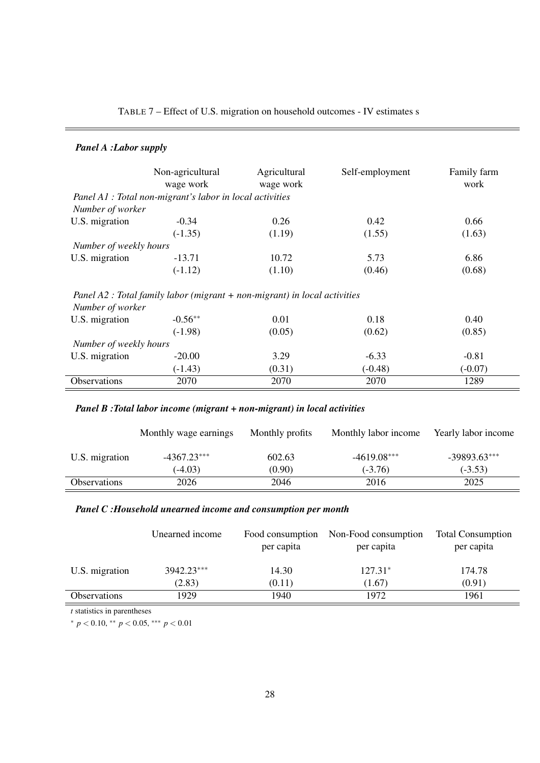| TABLE 7 – Effect of U.S. migration on household outcomes - IV estimates s |  |  |  |  |
|---------------------------------------------------------------------------|--|--|--|--|
|---------------------------------------------------------------------------|--|--|--|--|

## *Panel A :Labor supply*

|                        | Non-agricultural<br>wage work                                               | Agricultural<br>wage work | Self-employment | Family farm<br>work |
|------------------------|-----------------------------------------------------------------------------|---------------------------|-----------------|---------------------|
|                        | Panel A1 : Total non-migrant's labor in local activities                    |                           |                 |                     |
| Number of worker       |                                                                             |                           |                 |                     |
| U.S. migration         | $-0.34$                                                                     | 0.26                      | 0.42            | 0.66                |
|                        | $(-1.35)$                                                                   | (1.19)                    | (1.55)          | (1.63)              |
| Number of weekly hours |                                                                             |                           |                 |                     |
| U.S. migration         | $-13.71$                                                                    | 10.72                     | 5.73            | 6.86                |
|                        | $(-1.12)$                                                                   | (1.10)                    | (0.46)          | (0.68)              |
| Number of worker       | Panel A2 : Total family labor (migrant $+$ non-migrant) in local activities |                           |                 |                     |
| U.S. migration         | $-0.56**$                                                                   | 0.01                      | 0.18            | 0.40                |
|                        | $(-1.98)$                                                                   | (0.05)                    | (0.62)          | (0.85)              |
| Number of weekly hours |                                                                             |                           |                 |                     |
| U.S. migration         | $-20.00$                                                                    | 3.29                      | $-6.33$         | $-0.81$             |
|                        | $(-1.43)$                                                                   | (0.31)                    | $(-0.48)$       | $(-0.07)$           |
| Observations           | 2070                                                                        | 2070                      | 2070            | 1289                |

## *Panel B :Total labor income (migrant + non-migrant) in local activities*

|                     | Monthly wage earnings | Monthly profits | Monthly labor income | Yearly labor income |
|---------------------|-----------------------|-----------------|----------------------|---------------------|
| U.S. migration      | $-4367.23***$         | 602.63          | $-4619.08***$        | $-39893.63***$      |
|                     | $(-4.03)$             | (0.90)          | $(-3.76)$            | $(-3.53)$           |
| <b>Observations</b> | 2026                  | 2046            | 2016                 | 2025                |

## *Panel C :Household unearned income and consumption per month*

|                     | Unearned income | Food consumption<br>per capita | Non-Food consumption<br>per capita | <b>Total Consumption</b><br>per capita |
|---------------------|-----------------|--------------------------------|------------------------------------|----------------------------------------|
| U.S. migration      | 3942.23***      | 14.30                          | $127.31*$                          | 174.78                                 |
|                     | (2.83)          | (0.11)                         | (1.67)                             | (0.91)                                 |
| <b>Observations</b> | 1929            | 1940.                          | 1972                               | 1961                                   |

*t* statistics in parentheses

<sup>∗</sup> *p* < 0.10, ∗∗ *p* < 0.05, ∗∗∗ *p* < 0.01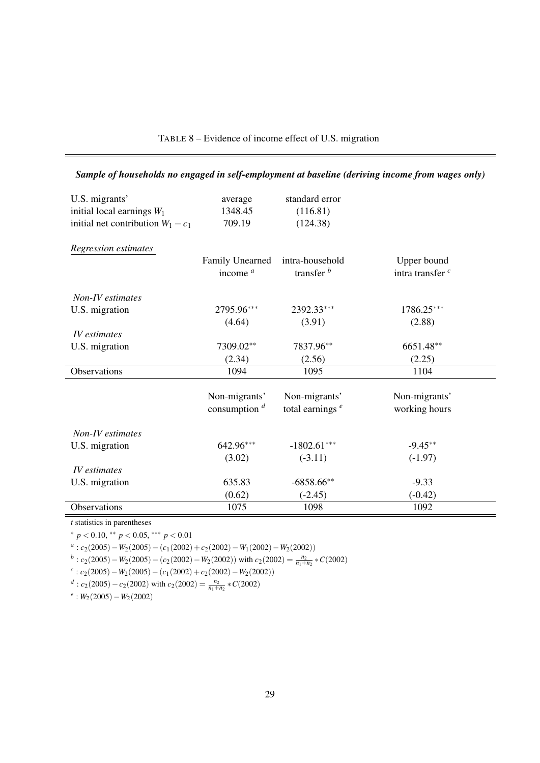| U.S. migrants'<br>initial local earnings $W_1$<br>initial net contribution $W_1 - c_1$ | average<br>1348.45<br>709.19 | standard error<br>(116.81)<br>(124.38) |                             |
|----------------------------------------------------------------------------------------|------------------------------|----------------------------------------|-----------------------------|
| Regression estimates                                                                   | Family Unearned              | intra-household                        | Upper bound                 |
|                                                                                        | income $a$                   | transfer $b$                           | intra transfer <sup>c</sup> |
| Non-IV estimates                                                                       |                              |                                        |                             |
| U.S. migration                                                                         | 2795.96***                   | 2392.33***                             | 1786.25***                  |
|                                                                                        | (4.64)                       | (3.91)                                 | (2.88)                      |
| IV estimates                                                                           |                              |                                        |                             |
| U.S. migration                                                                         | 7309.02**                    | 7837.96**                              | 6651.48**                   |
|                                                                                        | (2.34)                       | (2.56)                                 | (2.25)                      |
| <b>Observations</b>                                                                    | 1094                         | 1095                                   | 1104                        |
|                                                                                        |                              |                                        |                             |
|                                                                                        | Non-migrants'                | Non-migrants'                          | Non-migrants'               |
|                                                                                        | consumption $d$              | total earnings $e$                     | working hours               |
| Non-IV estimates                                                                       |                              |                                        |                             |
| U.S. migration                                                                         | 642.96***                    | $-1802.61***$                          | $-9.45**$                   |
|                                                                                        | (3.02)                       | $(-3.11)$                              | $(-1.97)$                   |
| <i>IV</i> estimates                                                                    |                              |                                        |                             |
| U.S. migration                                                                         | 635.83                       | $-6858.66**$                           | $-9.33$                     |
|                                                                                        | (0.62)                       | $(-2.45)$                              | $(-0.42)$                   |
| Observations                                                                           | 1075                         | 1098                                   | 1092                        |

## TABLE 8 – Evidence of income effect of U.S. migration

*Sample of households no engaged in self-employment at baseline (deriving income from wages only)*

*t* statistics in parentheses <sup>∗</sup> *p* < 0.10, ∗∗ *p* < 0.05, ∗∗∗ *p* < 0.01

*a* : *c*2(2005)−*W*2(2005)−(*c*1(2002) +*c*2(2002)−*W*1(2002)−*W*2(2002))

 $b$ : *c*<sub>2</sub>(2005) − *W*<sub>2</sub>(2005) − (*c*<sub>2</sub>(2002) − *W*<sub>2</sub>(2002)) with *c*<sub>2</sub>(2002) =  $\frac{n_2}{n_1 + n_2}$  \* *C*(2002)

*c* : *c*2(2005)−*W*2(2005)−(*c*1(2002) +*c*2(2002)−*W*2(2002))

*d* : *c*<sub>2</sub>(2005) − *c*<sub>2</sub>(2002) with *c*<sub>2</sub>(2002) =  $\frac{n_2}{n_1+n_2}$  \* *C*(2002)

*e* : *W*2(2005)−*W*2(2002)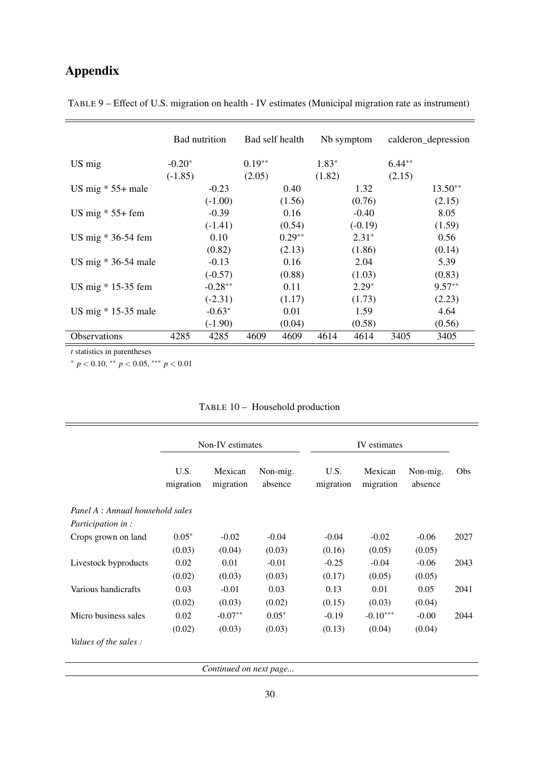# Appendix

|           |           |               |          |                 |           |            | calderon_depression |
|-----------|-----------|---------------|----------|-----------------|-----------|------------|---------------------|
| $-0.20*$  |           | $0.19**$      |          | $1.83*$         |           | $6.44**$   |                     |
| $(-1.85)$ |           | (2.05)        |          | (1.82)          |           | (2.15)     |                     |
|           | $-0.23$   |               | 0.40     |                 | 1.32      |            | $13.50**$           |
|           | $(-1.00)$ |               | (1.56)   |                 | (0.76)    |            | (2.15)              |
|           | $-0.39$   |               | 0.16     |                 | $-0.40$   |            | 8.05                |
|           | $(-1.41)$ |               | (0.54)   |                 | $(-0.19)$ |            | (1.59)              |
|           | 0.10      |               | $0.29**$ |                 | $2.31*$   |            | 0.56                |
|           | (0.82)    |               | (2.13)   |                 | (1.86)    |            | (0.14)              |
|           | $-0.13$   |               | 0.16     |                 | 2.04      |            | 5.39                |
|           | $(-0.57)$ |               | (0.88)   |                 | (1.03)    |            | (0.83)              |
|           | $-0.28**$ |               | 0.11     |                 | $2.29*$   |            | $9.57**$            |
|           | $(-2.31)$ |               | (1.17)   |                 | (1.73)    |            | (2.23)              |
|           | $-0.63*$  |               | 0.01     |                 | 1.59      |            | 4.64                |
|           | $(-1.90)$ |               | (0.04)   |                 | (0.58)    |            | (0.56)              |
| 4285      | 4285      | 4609          | 4609     | 4614            | 4614      | 3405       | 3405                |
|           |           | Bad nutrition |          | Bad self health |           | Nb symptom |                     |

TABLE 9 – Effect of U.S. migration on health - IV estimates (Municipal migration rate as instrument)

*t* statistics in parentheses

Ė

<sup>∗</sup> *p* < 0.10, ∗∗ *p* < 0.05, ∗∗∗ *p* < 0.01

|                                  |                   | Non-IV estimates     |                     |                   | IV estimates         |                     |      |
|----------------------------------|-------------------|----------------------|---------------------|-------------------|----------------------|---------------------|------|
|                                  | U.S.<br>migration | Mexican<br>migration | Non-mig.<br>absence | U.S.<br>migration | Mexican<br>migration | Non-mig.<br>absence | Obs  |
| Panel A : Annual household sales |                   |                      |                     |                   |                      |                     |      |
| <i>Participation in:</i>         |                   |                      |                     |                   |                      |                     |      |
| Crops grown on land              | $0.05*$           | $-0.02$              | $-0.04$             | $-0.04$           | $-0.02$              | $-0.06$             | 2027 |
|                                  | (0.03)            | (0.04)               | (0.03)              | (0.16)            | (0.05)               | (0.05)              |      |
| Livestock byproducts             | 0.02              | 0.01                 | $-0.01$             | $-0.25$           | $-0.04$              | $-0.06$             | 2043 |
|                                  | (0.02)            | (0.03)               | (0.03)              | (0.17)            | (0.05)               | (0.05)              |      |
| Various handicrafts              | 0.03              | $-0.01$              | 0.03                | 0.13              | 0.01                 | 0.05                | 2041 |
|                                  | (0.02)            | (0.03)               | (0.02)              | (0.15)            | (0.03)               | (0.04)              |      |
| Micro business sales             | 0.02              | $-0.07**$            | $0.05*$             | $-0.19$           | $-0.10***$           | $-0.00$             | 2044 |
|                                  | (0.02)            | (0.03)               | (0.03)              | (0.13)            | (0.04)               | (0.04)              |      |

## TABLE 10 – Household production

*Continued on next page...*